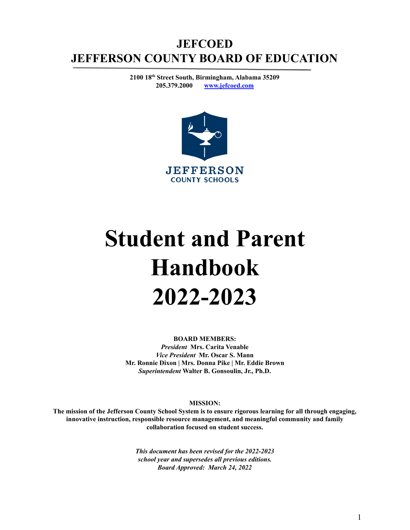# **JEFCOED JEFFERSON COUNTY BOARD OF EDUCATION**

**2100 18 th Street South, Birmingham, Alabama 35209 205.379.2000 [www.jefcoed.com](http://www.jefcoed.com)**



# **Student and Parent Handbook 2022-2023**

**BOARD MEMBERS:** *President* **Mrs. Carita Venable** *Vice President* **Mr. Oscar S. Mann Mr. Ronnie Dixon | Mrs. Donna Pike | Mr. Eddie Brown** *Superintendent* **Walter B. Gonsoulin, Jr., Ph.D.**

**MISSION:**

The mission of the Jefferson County School System is to ensure rigorous learning for all through engaging, **innovative instruction, responsible resource management, and meaningful community and family collaboration focused on student success.**

> *This document has been revised for the 2022-2023 school year and supersedes all previous editions. Board Approved: March 24, 2022*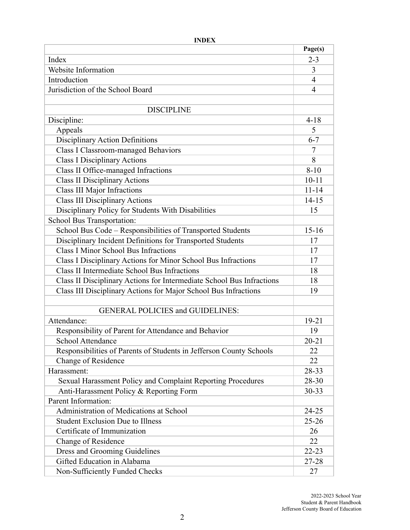|                                                                       | Page(s)   |
|-----------------------------------------------------------------------|-----------|
| Index                                                                 | $2 - 3$   |
| Website Information                                                   | 3         |
| Introduction                                                          | 4         |
| Jurisdiction of the School Board                                      | 4         |
|                                                                       |           |
| <b>DISCIPLINE</b>                                                     |           |
| Discipline:                                                           | $4 - 18$  |
| Appeals                                                               | 5         |
| <b>Disciplinary Action Definitions</b>                                | $6 - 7$   |
| <b>Class I Classroom-managed Behaviors</b>                            | 7         |
| <b>Class I Disciplinary Actions</b>                                   | 8         |
| Class II Office-managed Infractions                                   | $8 - 10$  |
| <b>Class II Disciplinary Actions</b>                                  | $10 - 11$ |
| <b>Class III Major Infractions</b>                                    | $11 - 14$ |
| <b>Class III Disciplinary Actions</b>                                 | $14 - 15$ |
| Disciplinary Policy for Students With Disabilities                    | 15        |
| School Bus Transportation:                                            |           |
| School Bus Code - Responsibilities of Transported Students            | $15 - 16$ |
| Disciplinary Incident Definitions for Transported Students            | 17        |
| <b>Class I Minor School Bus Infractions</b>                           | 17        |
| Class I Disciplinary Actions for Minor School Bus Infractions         | 17        |
| <b>Class II Intermediate School Bus Infractions</b>                   | 18        |
| Class II Disciplinary Actions for Intermediate School Bus Infractions | 18        |
| Class III Disciplinary Actions for Major School Bus Infractions       | 19        |
|                                                                       |           |
| <b>GENERAL POLICIES and GUIDELINES:</b>                               |           |
| Attendance:                                                           | $19 - 21$ |
| Responsibility of Parent for Attendance and Behavior                  | 19        |
| School Attendance                                                     | $20 - 21$ |
| Responsibilities of Parents of Students in Jefferson County Schools   | 22        |
| <b>Change of Residence</b>                                            | 22        |
| Harassment:                                                           | 28-33     |
| Sexual Harassment Policy and Complaint Reporting Procedures           | 28-30     |
| Anti-Harassment Policy & Reporting Form                               | $30 - 33$ |
| Parent Information:                                                   |           |
| Administration of Medications at School                               | $24 - 25$ |
| <b>Student Exclusion Due to Illness</b>                               | $25 - 26$ |
| Certificate of Immunization                                           | 26        |
| Change of Residence                                                   | 22        |
| Dress and Grooming Guidelines                                         | $22 - 23$ |
| Gifted Education in Alabama                                           | 27-28     |
| Non-Sufficiently Funded Checks                                        | 27        |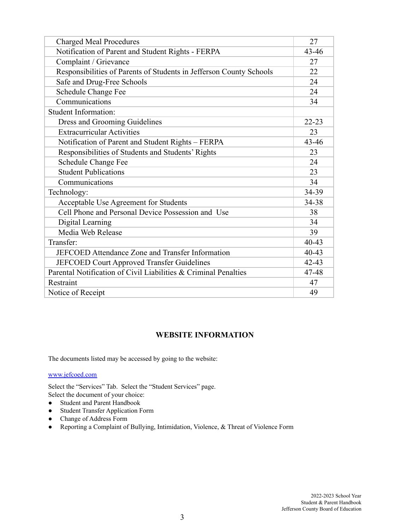| <b>Charged Meal Procedures</b>                                      | 27        |  |
|---------------------------------------------------------------------|-----------|--|
| Notification of Parent and Student Rights - FERPA                   | $43 - 46$ |  |
| Complaint / Grievance                                               | 27        |  |
| Responsibilities of Parents of Students in Jefferson County Schools | 22        |  |
| Safe and Drug-Free Schools                                          | 24        |  |
| <b>Schedule Change Fee</b>                                          | 24        |  |
| Communications                                                      | 34        |  |
| <b>Student Information:</b>                                         |           |  |
| Dress and Grooming Guidelines                                       | $22 - 23$ |  |
| <b>Extracurricular Activities</b>                                   | 23        |  |
| Notification of Parent and Student Rights - FERPA                   | $43 - 46$ |  |
| Responsibilities of Students and Students' Rights                   | 23        |  |
| Schedule Change Fee                                                 | 24        |  |
| <b>Student Publications</b>                                         | 23        |  |
| Communications                                                      | 34        |  |
| Technology:                                                         | 34-39     |  |
| Acceptable Use Agreement for Students                               | 34-38     |  |
| Cell Phone and Personal Device Possession and Use                   | 38        |  |
| Digital Learning                                                    |           |  |
| Media Web Release                                                   | 39        |  |
| Transfer:                                                           | 40-43     |  |
| JEFCOED Attendance Zone and Transfer Information                    | 40-43     |  |
| <b>JEFCOED Court Approved Transfer Guidelines</b>                   | $42 - 43$ |  |
| Parental Notification of Civil Liabilities & Criminal Penalties     | 47-48     |  |
| Restraint                                                           | 47        |  |
| Notice of Receipt                                                   | 49        |  |
|                                                                     |           |  |

# **WEBSITE INFORMATION**

The documents listed may be accessed by going to the website:

#### [www.jefcoed.com](http://www.jefcoed.com)

Select the "Services" Tab. Select the "Student Services" page. Select the document of your choice:

- Student and Parent Handbook
- Student Transfer Application Form
- **●** Change of Address Form
- Reporting a Complaint of Bullying, Intimidation, Violence, & Threat of Violence Form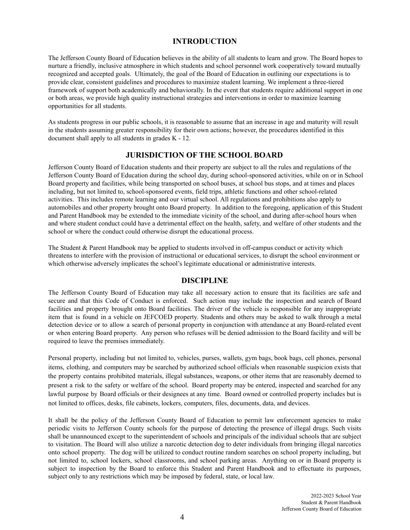# **INTRODUCTION**

The Jefferson County Board of Education believes in the ability of all students to learn and grow. The Board hopes to nurture a friendly, inclusive atmosphere in which students and school personnel work cooperatively toward mutually recognized and accepted goals. Ultimately, the goal of the Board of Education in outlining our expectations is to provide clear, consistent guidelines and procedures to maximize student learning. We implement a three-tiered framework of support both academically and behaviorally. In the event that students require additional support in one or both areas, we provide high quality instructional strategies and interventions in order to maximize learning opportunities for all students.

As students progress in our public schools, it is reasonable to assume that an increase in age and maturity will result in the students assuming greater responsibility for their own actions; however, the procedures identified in this document shall apply to all students in grades K - 12.

# **JURISDICTION OF THE SCHOOL BOARD**

Jefferson County Board of Education students and their property are subject to all the rules and regulations of the Jefferson County Board of Education during the school day, during school-sponsored activities, while on or in School Board property and facilities, while being transported on school buses, at school bus stops, and at times and places including, but not limited to, school-sponsored events, field trips, athletic functions and other school-related activities. This includes remote learning and our virtual school. All regulations and prohibitions also apply to automobiles and other property brought onto Board property. In addition to the foregoing, application of this Student and Parent Handbook may be extended to the immediate vicinity of the school, and during after-school hours when and where student conduct could have a detrimental effect on the health, safety, and welfare of other students and the school or where the conduct could otherwise disrupt the educational process.

The Student & Parent Handbook may be applied to students involved in off-campus conduct or activity which threatens to interfere with the provision of instructional or educational services, to disrupt the school environment or which otherwise adversely implicates the school's legitimate educational or administrative interests.

# **DISCIPLINE**

The Jefferson County Board of Education may take all necessary action to ensure that its facilities are safe and secure and that this Code of Conduct is enforced. Such action may include the inspection and search of Board facilities and property brought onto Board facilities. The driver of the vehicle is responsible for any inappropriate item that is found in a vehicle on JEFCOED property. Students and others may be asked to walk through a metal detection device or to allow a search of personal property in conjunction with attendance at any Board-related event or when entering Board property. Any person who refuses will be denied admission to the Board facility and will be required to leave the premises immediately.

Personal property, including but not limited to, vehicles, purses, wallets, gym bags, book bags, cell phones, personal items, clothing, and computers may be searched by authorized school officials when reasonable suspicion exists that the property contains prohibited materials, illegal substances, weapons, or other items that are reasonably deemed to present a risk to the safety or welfare of the school. Board property may be entered, inspected and searched for any lawful purpose by Board officials or their designees at any time. Board owned or controlled property includes but is not limited to offices, desks, file cabinets, lockers, computers, files, documents, data, and devices.

It shall be the policy of the Jefferson County Board of Education to permit law enforcement agencies to make periodic visits to Jefferson County schools for the purpose of detecting the presence of illegal drugs. Such visits shall be unannounced except to the superintendent of schools and principals of the individual schools that are subject to visitation. The Board will also utilize a narcotic detection dog to deter individuals from bringing illegal narcotics onto school property. The dog will be utilized to conduct routine random searches on school property including, but not limited to, school lockers, school classrooms, and school parking areas. Anything on or in Board property is subject to inspection by the Board to enforce this Student and Parent Handbook and to effectuate its purposes, subject only to any restrictions which may be imposed by federal, state, or local law.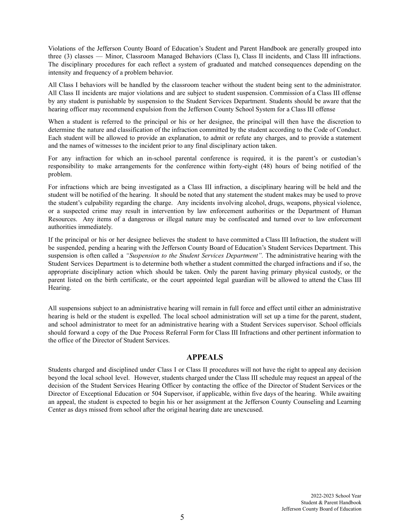Violations of the Jefferson County Board of Education's Student and Parent Handbook are generally grouped into three (3) classes — Minor, Classroom Managed Behaviors (Class I), Class II incidents, and Class III infractions. The disciplinary procedures for each reflect a system of graduated and matched consequences depending on the intensity and frequency of a problem behavior.

All Class I behaviors will be handled by the classroom teacher without the student being sent to the administrator. All Class II incidents are major violations and are subject to student suspension. Commission of a Class III offense by any student is punishable by suspension to the Student Services Department. Students should be aware that the hearing officer may recommend expulsion from the Jefferson County School System for a Class III offense

When a student is referred to the principal or his or her designee, the principal will then have the discretion to determine the nature and classification of the infraction committed by the student according to the Code of Conduct. Each student will be allowed to provide an explanation, to admit or refute any charges, and to provide a statement and the names of witnesses to the incident prior to any final disciplinary action taken.

For any infraction for which an in-school parental conference is required, it is the parent's or custodian's responsibility to make arrangements for the conference within forty-eight (48) hours of being notified of the problem.

For infractions which are being investigated as a Class III infraction, a disciplinary hearing will be held and the student will be notified of the hearing. It should be noted that any statement the student makes may be used to prove the student's culpability regarding the charge. Any incidents involving alcohol, drugs, weapons, physical violence, or a suspected crime may result in intervention by law enforcement authorities or the Department of Human Resources. Any items of a dangerous or illegal nature may be confiscated and turned over to law enforcement authorities immediately.

If the principal or his or her designee believes the student to have committed a Class III Infraction, the student will be suspended, pending a hearing with the Jefferson County Board of Education's Student Services Department. This suspension is often called a *"Suspension to the Student Services Department".* The administrative hearing with the Student Services Department is to determine both whether a student committed the charged infractions and if so, the appropriate disciplinary action which should be taken. Only the parent having primary physical custody, or the parent listed on the birth certificate, or the court appointed legal guardian will be allowed to attend the Class III Hearing.

All suspensions subject to an administrative hearing will remain in full force and effect until either an administrative hearing is held or the student is expelled. The local school administration will set up a time for the parent, student, and school administrator to meet for an administrative hearing with a Student Services supervisor. School officials should forward a copy of the Due Process Referral Form for Class III Infractions and other pertinent information to the office of the Director of Student Services.

# **APPEALS**

Students charged and disciplined under Class I or Class II procedures will not have the right to appeal any decision beyond the local school level. However, students charged under the Class III schedule may request an appeal of the decision of the Student Services Hearing Officer by contacting the office of the Director of Student Services or the Director of Exceptional Education or 504 Supervisor, if applicable, within five days of the hearing. While awaiting an appeal, the student is expected to begin his or her assignment at the Jefferson County Counseling and Learning Center as days missed from school after the original hearing date are unexcused.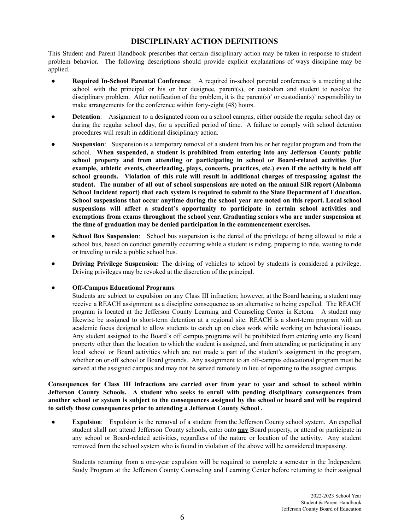# **DISCIPLINARY ACTION DEFINITIONS**

This Student and Parent Handbook prescribes that certain disciplinary action may be taken in response to student problem behavior. The following descriptions should provide explicit explanations of ways discipline may be applied.

- **Required In-School Parental Conference**: A required in-school parental conference is a meeting at the school with the principal or his or her designee, parent(s), or custodian and student to resolve the disciplinary problem. After notification of the problem, it is the parent(s)' or custodian(s)' responsibility to make arrangements for the conference within forty-eight (48) hours.
- **• Detention**: Assignment to a designated room on a school campus, either outside the regular school day or during the regular school day, for a specified period of time. A failure to comply with school detention procedures will result in additional disciplinary action.
- **Suspension:** Suspension is a temporary removal of a student from his or her regular program and from the school. **When suspended, a student is prohibited from entering into any Jefferson County public school property and from attending or participating in school or Board-related activities (for example, athletic events, cheerleading, plays, concerts, practices, etc.) even if the activity is held off school grounds. Violation of this rule will result in additional charges of trespassing against the student. The number of all out of school suspensions are noted on the annual SIR report (Alabama School Incident report) that each system is required to submit to the State Department of Education. School suspensions that occur anytime during the school year are noted on this report. Local school suspensions will affect a student's opportunity to participate in certain school activities and exemptions from exams throughout the school year. Graduating seniors who are under suspension at the time of graduation may be denied participation in the commencement exercises.**
- **School Bus Suspension**: School bus suspension is the denial of the privilege of being allowed to ride a school bus, based on conduct generally occurring while a student is riding, preparing to ride, waiting to ride or traveling to ride a public school bus.
- **Driving Privilege Suspension:** The driving of vehicles to school by students is considered a privilege. Driving privileges may be revoked at the discretion of the principal.

#### ● **Off-Campus Educational Programs**:

Students are subject to expulsion on any Class III infraction; however, at the Board hearing, a student may receive a REACH assignment as a discipline consequence as an alternative to being expelled. The REACH program is located at the Jefferson County Learning and Counseling Center in Ketona. A student may likewise be assigned to short-term detention at a regional site. REACH is a short-term program with an academic focus designed to allow students to catch up on class work while working on behavioral issues. Any student assigned to the Board's off campus programs will be prohibited from entering onto any Board property other than the location to which the student is assigned, and from attending or participating in any local school or Board activities which are not made a part of the student's assignment in the program, whether on or off school or Board grounds. Any assignment to an off-campus educational program must be served at the assigned campus and may not be served remotely in lieu of reporting to the assigned campus.

**Consequences for Class III infractions are carried over from year to year and school to school within Jefferson County Schools. A student who seeks to enroll with pending disciplinary consequences from** another school or system is subject to the consequences assigned by the school or board and will be required **to satisfy those consequences prior to attending a Jefferson County School .**

**Expulsion**: Expulsion is the removal of a student from the Jefferson County school system. An expelled student shall not attend Jefferson County schools, enter onto **any** Board property, or attend or participate in any school or Board-related activities, regardless of the nature or location of the activity. Any student removed from the school system who is found in violation of the above will be considered trespassing.

Students returning from a one-year expulsion will be required to complete a semester in the Independent Study Program at the Jefferson County Counseling and Learning Center before returning to their assigned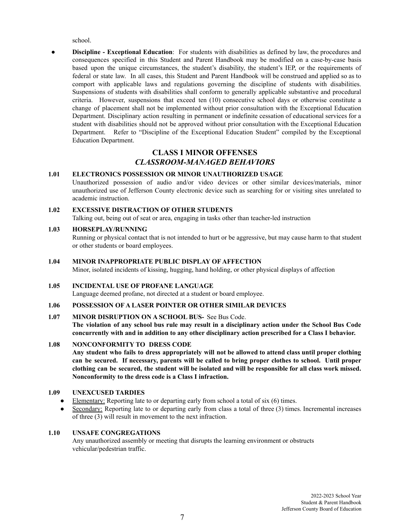school.

● **Discipline - Exceptional Education**: For students with disabilities as defined by law, the procedures and consequences specified in this Student and Parent Handbook may be modified on a case-by-case basis based upon the unique circumstances, the student's disability, the student's IEP, or the requirements of federal or state law. In all cases, this Student and Parent Handbook will be construed and applied so as to comport with applicable laws and regulations governing the discipline of students with disabilities. Suspensions of students with disabilities shall conform to generally applicable substantive and procedural criteria. However, suspensions that exceed ten (10) consecutive school days or otherwise constitute a change of placement shall not be implemented without prior consultation with the Exceptional Education Department. Disciplinary action resulting in permanent or indefinite cessation of educational services for a student with disabilities should not be approved without prior consultation with the Exceptional Education Department. Refer to "Discipline of the Exceptional Education Student" compiled by the Exceptional Education Department.

# **CLASS I MINOR OFFENSES** *CLASSROOM-MANAGED BEHAVIORS*

# **1.01 ELECTRONICS POSSESSION OR MINOR UNAUTHORIZED USAGE**

Unauthorized possession of audio and/or video devices or other similar devices/materials, minor unauthorized use of Jefferson County electronic device such as searching for or visiting sites unrelated to academic instruction.

**1.02 EXCESSIVE DISTRACTION OF OTHER STUDENTS** Talking out, being out of seat or area, engaging in tasks other than teacher-led instruction

# **1.03 HORSEPLAY/RUNNING**

Running or physical contact that is not intended to hurt or be aggressive, but may cause harm to that student or other students or board employees.

**1.04 MINOR INAPPROPRIATE PUBLIC DISPLAY OF AFFECTION** Minor, isolated incidents of kissing, hugging, hand holding, or other physical displays of affection

# **1.05 INCIDENTAL USE OF PROFANE LANGUAGE**

Language deemed profane, not directed at a student or board employee.

# **1.06 POSSESSION OF A LASER POINTER OR OTHER SIMILAR DEVICES**

# **1.07 MINOR DISRUPTION ON A SCHOOL BUS-** See Bus Code.

**The violation of any school bus rule may result in a disciplinary action under the School Bus Code concurrently with and in addition to any other disciplinary action prescribed for a Class I behavior.**

# **1.08 NONCONFORMITY TO DRESS CODE**

**Any student who fails to dress appropriately will not be allowed to attend class until proper clothing can be secured. If necessary, parents will be called to bring proper clothes to school. Until proper** clothing can be secured, the student will be isolated and will be responsible for all class work missed. **Nonconformity to the dress code is a Class I infraction.**

# **1.09 UNEXCUSED TARDIES**

- Elementary: Reporting late to or departing early from school a total of six  $(6)$  times.
- Secondary: Reporting late to or departing early from class a total of three (3) times. Incremental increases of three (3) will result in movement to the next infraction.

# **1.10 UNSAFE CONGREGATIONS**

Any unauthorized assembly or meeting that disrupts the learning environment or obstructs vehicular/pedestrian traffic.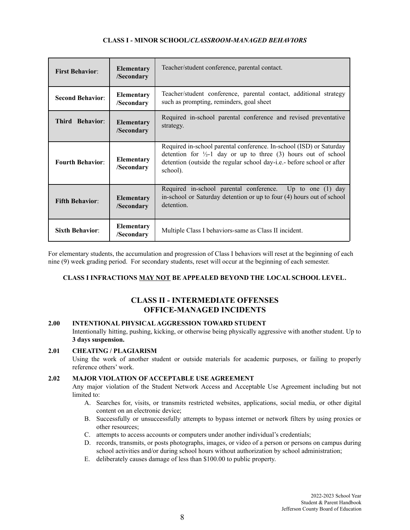# **CLASS I** *-* **MINOR SCHOOL/***CLASSROOM-MANAGED BEHAVIORS*

| <b>First Behavior:</b>  | <b>Elementary</b><br>/Secondary | Teacher/student conference, parental contact.                                                                                                                                                                                          |  |
|-------------------------|---------------------------------|----------------------------------------------------------------------------------------------------------------------------------------------------------------------------------------------------------------------------------------|--|
| <b>Second Behavior:</b> | <b>Elementary</b><br>/Secondary | Teacher/student conference, parental contact, additional strategy<br>such as prompting, reminders, goal sheet                                                                                                                          |  |
| Third Behavior:         | <b>Elementary</b><br>/Secondary | Required in-school parental conference and revised preventative<br>strategy.                                                                                                                                                           |  |
| <b>Fourth Behavior:</b> | <b>Elementary</b><br>/Secondary | Required in-school parental conference. In-school (ISD) or Saturday<br>detention for $\frac{1}{2}$ -1 day or up to three (3) hours out of school<br>detention (outside the regular school day-i.e.- before school or after<br>school). |  |
| <b>Fifth Behavior:</b>  | Elementary<br>/Secondary        | Required in-school parental conference. Up to one (1) day<br>in-school or Saturday detention or up to four (4) hours out of school<br>detention.                                                                                       |  |
| <b>Sixth Behavior:</b>  | Elementary<br>/Secondary        | Multiple Class I behaviors-same as Class II incident.                                                                                                                                                                                  |  |

For elementary students, the accumulation and progression of Class I behaviors will reset at the beginning of each nine (9) week grading period. For secondary students, reset will occur at the beginning of each semester.

# **CLASS I INFRACTIONS MAY NOT BE APPEALED BEYOND THE LOCAL SCHOOL LEVEL***.*

# **CLASS II - INTERMEDIATE OFFENSES OFFICE-MANAGED INCIDENTS**

# **2.00 INTENTIONAL PHYSICALAGGRESSION TOWARD STUDENT**

Intentionally hitting, pushing, kicking, or otherwise being physically aggressive with another student. Up to **3 days suspension.**

# **2.01 CHEATING / PLAGIARISM**

Using the work of another student or outside materials for academic purposes, or failing to properly reference others' work.

# **2.02 MAJOR VIOLATION OF ACCEPTABLE USE AGREEMENT**

Any major violation of the Student Network Access and Acceptable Use Agreement including but not limited to:

- A. Searches for, visits, or transmits restricted websites, applications, social media, or other digital content on an electronic device;
- B. Successfully or unsuccessfully attempts to bypass internet or network filters by using proxies or other resources;
- C. attempts to access accounts or computers under another individual's credentials;
- D. records, transmits, or posts photographs, images, or video of a person or persons on campus during school activities and/or during school hours without authorization by school administration;
- E. deliberately causes damage of less than \$100.00 to public property.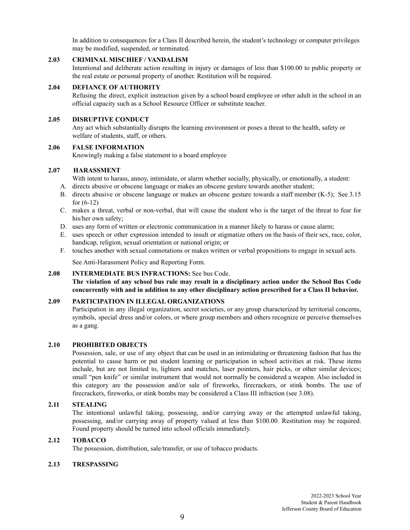In addition to consequences for a Class II described herein, the student's technology or computer privileges may be modified, suspended, or terminated.

#### **2.03 CRIMINAL MISCHIEF / VANDALISM**

Intentional and deliberate action resulting in injury or damages of less than \$100.00 to public property or the real estate or personal property of another. Restitution will be required.

# **2.04 DEFIANCE OF AUTHORITY**

Refusing the direct, explicit instruction given by a school board employee or other adult in the school in an official capacity such as a School Resource Officer or substitute teacher.

### **2.05 DISRUPTIVE CONDUCT**

Any act which substantially disrupts the learning environment or poses a threat to the health, safety or welfare of students, staff, or others.

# **2.06 FALSE INFORMATION**

Knowingly making a false statement to a board employee

## **2.07 HARASSMENT**

With intent to harass, annoy, intimidate, or alarm whether socially, physically, or emotionally, a student:

- A. directs abusive or obscene language or makes an obscene gesture towards another student;
- B. directs abusive or obscene language or makes an obscene gesture towards a staff member (K-5); See 3.15 for (6-12)
- C. makes a threat, verbal or non-verbal, that will cause the student who is the target of the threat to fear for his/her own safety;
- D. uses any form of written or electronic communication in a manner likely to harass or cause alarm;
- E. uses speech or other expression intended to insult or stigmatize others on the basis of their sex, race, color, handicap, religion, sexual orientation or national origin; or
- F. touches another with sexual connotations or makes written or verbal propositions to engage in sexual acts.

See Anti-Harassment Policy and Reporting Form.

# **2.08 INTERMEDIATE BUS INFRACTIONS:** See bus Code.

**The violation of any school bus rule may result in a disciplinary action under the School Bus Code concurrently with and in addition to any other disciplinary action prescribed for a Class II behavior.**

# **2.09 PARTICIPATION IN ILLEGAL ORGANIZATIONS**

Participation in any illegal organization, secret societies, or any group characterized by territorial concerns, symbols, special dress and/or colors, or where group members and others recognize or perceive themselves as a gang.

#### **2.10 PROHIBITED OBJECTS**

Possession, sale, or use of any object that can be used in an intimidating or threatening fashion that has the potential to cause harm or put student learning or participation in school activities at risk. These items include, but are not limited to, lighters and matches, laser pointers, hair picks, or other similar devices; small "pen knife" or similar instrument that would not normally be considered a weapon. Also included in this category are the possession and/or sale of fireworks, firecrackers, or stink bombs. The use of firecrackers, fireworks, or stink bombs may be considered a Class III infraction (see 3.08).

# **2.11 STEALING**

The intentional unlawful taking, possessing, and/or carrying away or the attempted unlawful taking, possessing, and/or carrying away of property valued at less than \$100.00. Restitution may be required. Found property should be turned into school officials immediately.

# **2.12 TOBACCO**

The possession, distribution, sale/transfer, or use of tobacco products.

# **2.13 TRESPASSING**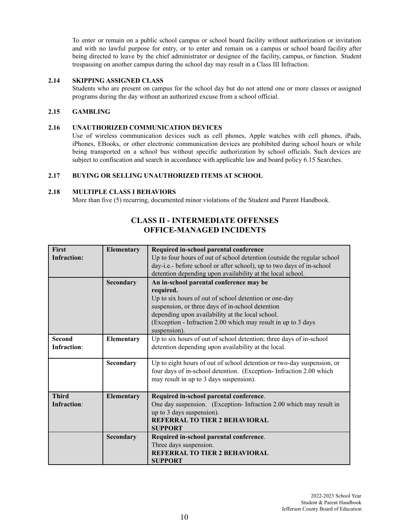To enter or remain on a public school campus or school board facility without authorization or invitation and with no lawful purpose for entry, or to enter and remain on a campus or school board facility after being directed to leave by the chief administrator or designee of the facility, campus, or function. Student trespassing on another campus during the school day may result in a Class III Infraction.

# **2.14 SKIPPING ASSIGNED CLASS**

Students who are present on campus for the school day but do not attend one or more classes or assigned programs during the day without an authorized excuse from a school official.

### **2.15 GAMBLING**

#### **2.16 UNAUTHORIZED COMMUNICATION DEVICES**

Use of wireless communication devices such as cell phones, Apple watches with cell phones, iPads, iPhones, EBooks, or other electronic communication devices are prohibited during school hours or while being transported on a school bus without specific authorization by school officials. Such devices are subject to confiscation and search in accordance with applicable law and board policy 6.15 Searches.

# **2.17 BUYING OR SELLING UNAUTHORIZED ITEMS AT SCHOOL**

# **2.18 MULTIPLE CLASS I BEHAVIORS**

More than five (5) recurring, documented minor violations of the Student and Parent Handbook.

| First              | Elementary        | Required in-school parental conference                                  |  |  |
|--------------------|-------------------|-------------------------------------------------------------------------|--|--|
| <b>Infraction:</b> |                   | Up to four hours of out of school detention (outside the regular school |  |  |
|                    |                   | day-i.e.- before school or after school), up to two days of in-school   |  |  |
|                    |                   | detention depending upon availability at the local school.              |  |  |
|                    | Secondary         | An in-school parental conference may be                                 |  |  |
|                    |                   | required.                                                               |  |  |
|                    |                   | Up to six hours of out of school detention or one-day                   |  |  |
|                    |                   | suspension, or three days of in-school detention                        |  |  |
|                    |                   | depending upon availability at the local school.                        |  |  |
|                    |                   | (Exception - Infraction 2.00 which may result in up to 3 days           |  |  |
|                    |                   | suspension).                                                            |  |  |
| <b>Second</b>      | Elementary        | Up to six hours of out of school detention; three days of in-school     |  |  |
| <b>Infraction:</b> |                   | detention depending upon availability at the local.                     |  |  |
|                    |                   |                                                                         |  |  |
|                    | Secondary         | Up to eight hours of out of school detention or two-day suspension, or  |  |  |
|                    |                   | four days of in-school detention. (Exception-Infraction 2.00 which      |  |  |
|                    |                   | may result in up to 3 days suspension).                                 |  |  |
|                    |                   |                                                                         |  |  |
| <b>Third</b>       | <b>Elementary</b> | Required in-school parental conference.                                 |  |  |
| Infraction:        |                   | One day suspension. (Exception-Infraction 2.00 which may result in      |  |  |
|                    |                   | up to 3 days suspension).                                               |  |  |
|                    |                   | <b>REFERRAL TO TIER 2 BEHAVIORAL</b>                                    |  |  |
|                    |                   | <b>SUPPORT</b>                                                          |  |  |
|                    | Secondary         | Required in-school parental conference.                                 |  |  |
|                    |                   | Three days suspension.                                                  |  |  |
|                    |                   | <b>REFERRAL TO TIER 2 BEHAVIORAL</b>                                    |  |  |
|                    |                   | <b>SUPPORT</b>                                                          |  |  |

# **CLASS II - INTERMEDIATE OFFENSES OFFICE-MANAGED INCIDENTS**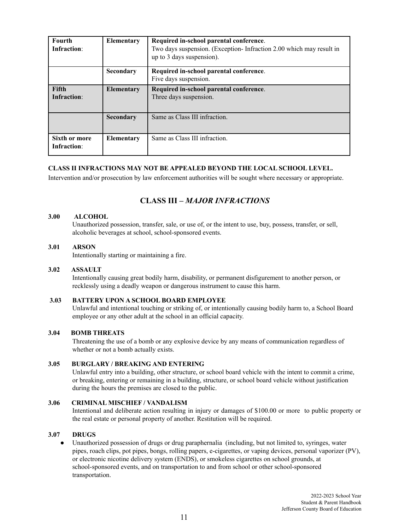| <b>Fourth</b><br>Infraction: | <b>Elementary</b> | Required in-school parental conference.<br>Two days suspension. (Exception-Infraction 2.00 which may result in<br>up to 3 days suspension). |
|------------------------------|-------------------|---------------------------------------------------------------------------------------------------------------------------------------------|
|                              | Secondary         | Required in-school parental conference.<br>Five days suspension.                                                                            |
| <b>Fifth</b><br>Infraction:  | <b>Elementary</b> | Required in-school parental conference.<br>Three days suspension.                                                                           |
|                              | Secondary         | Same as Class III infraction.                                                                                                               |
| Sixth or more<br>Infraction: | <b>Elementary</b> | Same as Class III infraction.                                                                                                               |

# **CLASS II INFRACTIONS MAY NOT BE APPEALED BEYOND THE LOCAL SCHOOL LEVEL.**

Intervention and/or prosecution by law enforcement authorities will be sought where necessary or appropriate.

# **CLASS III –** *MAJOR INFRACTIONS*

#### **3.00 ALCOHOL**

Unauthorized possession, transfer, sale, or use of, or the intent to use, buy, possess, transfer, or sell, alcoholic beverages at school, school-sponsored events.

# **3.01 ARSON**

Intentionally starting or maintaining a fire.

#### **3.02 ASSAULT**

Intentionally causing great bodily harm, disability, or permanent disfigurement to another person, or recklessly using a deadly weapon or dangerous instrument to cause this harm.

# **3.03 BATTERY UPON A SCHOOL BOARD EMPLOYEE**

Unlawful and intentional touching or striking of, or intentionally causing bodily harm to, a School Board employee or any other adult at the school in an official capacity.

# **3.04 BOMB THREATS**

Threatening the use of a bomb or any explosive device by any means of communication regardless of whether or not a bomb actually exists.

### **3.05 BURGLARY / BREAKING AND ENTERING**

Unlawful entry into a building, other structure, or school board vehicle with the intent to commit a crime, or breaking, entering or remaining in a building, structure, or school board vehicle without justification during the hours the premises are closed to the public.

#### **3.06 CRIMINAL MISCHIEF / VANDALISM**

Intentional and deliberate action resulting in injury or damages of \$100.00 or more to public property or the real estate or personal property of another. Restitution will be required.

# **3.07 DRUGS**

● Unauthorized possession of drugs or drug paraphernalia (including, but not limited to, syringes, water pipes, roach clips, pot pipes, bongs, rolling papers, e-cigarettes, or vaping devices, personal vaporizer (PV), or electronic nicotine delivery system (ENDS), or smokeless cigarettes on school grounds, at school-sponsored events, and on transportation to and from school or other school-sponsored transportation.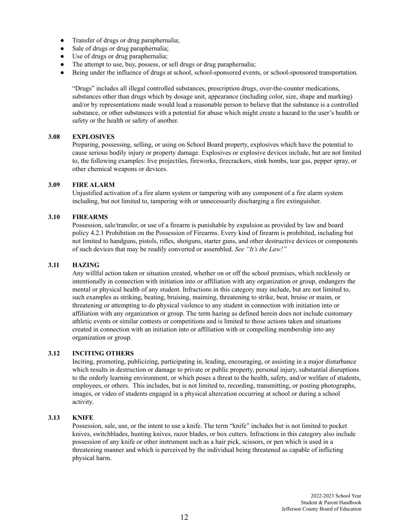- Transfer of drugs or drug paraphernalia;
- Sale of drugs or drug paraphernalia;
- Use of drugs or drug paraphernalia;
- The attempt to use, buy, possess, or sell drugs or drug paraphernalia;
- Being under the influence of drugs at school, school-sponsored events, or school-sponsored transportation.

"Drugs" includes all illegal controlled substances, prescription drugs, over-the-counter medications, substances other than drugs which by dosage unit, appearance (including color, size, shape and marking) and/or by representations made would lead a reasonable person to believe that the substance is a controlled substance, or other substances with a potential for abuse which might create a hazard to the user's health or safety or the health or safety of another.

#### **3.08 EXPLOSIVES**

Preparing, possessing, selling, or using on School Board property, explosives which have the potential to cause serious bodily injury or property damage. Explosives or explosive devices include, but are not limited to, the following examples: live projectiles, fireworks, firecrackers, stink bombs, tear gas, pepper spray, or other chemical weapons or devices.

# **3.09 FIRE ALARM**

Unjustified activation of a fire alarm system or tampering with any component of a fire alarm system including, but not limited to, tampering with or unnecessarily discharging a fire extinguisher.

# **3.10 FIREARMS**

Possession, sale/transfer, or use of a firearm is punishable by expulsion as provided by law and board policy 4.2.1 Prohibition on the Possession of Firearms. Every kind of firearm is prohibited, including but not limited to handguns, pistols, rifles, shotguns, starter guns, and other destructive devices or components of such devices that may be readily converted or assembled. *See "It's the Law!"*

# **3.11 HAZING**

Any willful action taken or situation created, whether on or off the school premises, which recklessly or intentionally in connection with initiation into or affiliation with any organization or group, endangers the mental or physical health of any student. Infractions in this category may include, but are not limited to, such examples as striking, beating, bruising, maiming, threatening to strike, beat, bruise or maim, or threatening or attempting to do physical violence to any student in connection with initiation into or affiliation with any organization or group. The term hazing as defined herein does not include customary athletic events or similar contests or competitions and is limited to those actions taken and situations created in connection with an initiation into or affiliation with or compelling membership into any organization or group.

# **3.12 INCITING OTHERS**

Inciting, promoting, publicizing, participating in, leading, encouraging, or assisting in a major disturbance which results in destruction or damage to private or public property, personal injury, substantial disruptions to the orderly learning environment, or which poses a threat to the health, safety, and/or welfare of students, employees, or others. This includes, but is not limited to, recording, transmitting, or posting photographs, images, or video of students engaged in a physical altercation occurring at school or during a school activity.

# **3.13 KNIFE**

Possession, sale, use, or the intent to use a knife. The term "knife" includes but is not limited to pocket knives, switchblades, hunting knives, razor blades, or box cutters. Infractions in this category also include possession of any knife or other instrument such as a hair pick, scissors, or pen which is used in a threatening manner and which is perceived by the individual being threatened as capable of inflicting physical harm.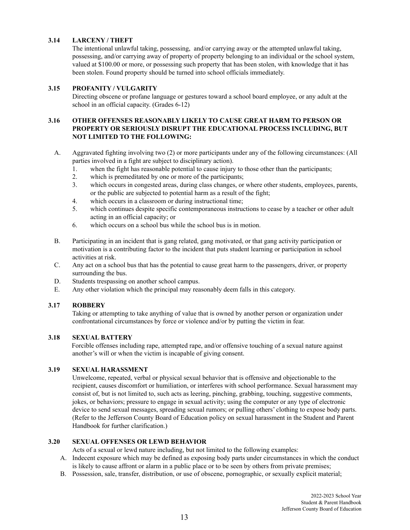# **3.14 LARCENY / THEFT**

The intentional unlawful taking, possessing, and/or carrying away or the attempted unlawful taking, possessing, and/or carrying away of property of property belonging to an individual or the school system, valued at \$100.00 or more, or possessing such property that has been stolen, with knowledge that it has been stolen. Found property should be turned into school officials immediately.

# **3.15 PROFANITY / VULGARITY**

Directing obscene or profane language or gestures toward a school board employee, or any adult at the school in an official capacity. (Grades 6-12)

# **3.16 OTHER OFFENSES REASONABLY LIKELY TO CAUSE GREAT HARM TO PERSON OR PROPERTY OR SERIOUSLY DISRUPT THE EDUCATIONAL PROCESS INCLUDING, BUT NOT LIMITED TO THE FOLLOWING:**

- A. Aggravated fighting involving two (2) or more participants under any of the following circumstances: (All parties involved in a fight are subject to disciplinary action).
	- 1. when the fight has reasonable potential to cause injury to those other than the participants;
	- 2. which is premeditated by one or more of the participants;
	- 3. which occurs in congested areas, during class changes, or where other students, employees, parents, or the public are subjected to potential harm as a result of the fight;
	- 4. which occurs in a classroom or during instructional time;
	- 5. which continues despite specific contemporaneous instructions to cease by a teacher or other adult acting in an official capacity; or
	- 6. which occurs on a school bus while the school bus is in motion.
- B. Participating in an incident that is gang related, gang motivated, or that gang activity participation or motivation is a contributing factor to the incident that puts student learning or participation in school activities at risk.
- C. Any act on a school bus that has the potential to cause great harm to the passengers, driver, or property surrounding the bus.
- D. Students trespassing on another school campus.
- E. Any other violation which the principal may reasonably deem falls in this category.

# **3.17 ROBBERY**

Taking or attempting to take anything of value that is owned by another person or organization under confrontational circumstances by force or violence and/or by putting the victim in fear.

# **3.18 SEXUAL BATTERY**

Forcible offenses including rape, attempted rape, and/or offensive touching of a sexual nature against another's will or when the victim is incapable of giving consent.

# **3.19 SEXUAL HARASSMENT**

Unwelcome, repeated, verbal or physical sexual behavior that is offensive and objectionable to the recipient, causes discomfort or humiliation, or interferes with school performance. Sexual harassment may consist of, but is not limited to, such acts as leering, pinching, grabbing, touching, suggestive comments, jokes, or behaviors; pressure to engage in sexual activity; using the computer or any type of electronic device to send sexual messages, spreading sexual rumors; or pulling others' clothing to expose body parts. (Refer to the Jefferson County Board of Education policy on sexual harassment in the Student and Parent Handbook for further clarification.)

# **3.20 SEXUAL OFFENSES OR LEWD BEHAVIOR**

Acts of a sexual or lewd nature including, but not limited to the following examples:

- A. Indecent exposure which may be defined as exposing body parts under circumstances in which the conduct is likely to cause affront or alarm in a public place or to be seen by others from private premises;
- B. Possession, sale, transfer, distribution, or use of obscene, pornographic, or sexually explicit material;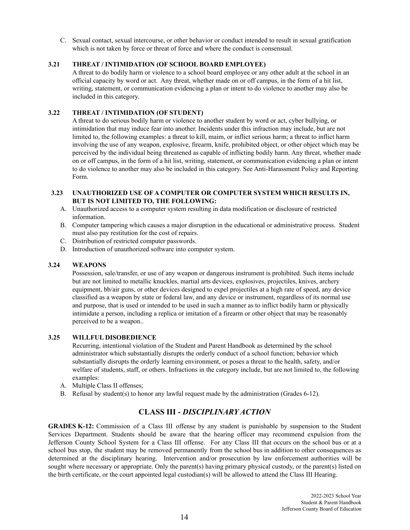C. Sexual contact, sexual intercourse, or other behavior or conduct intended to result in sexual gratification which is not taken by force or threat of force and where the conduct is consensual.

# **3.21 THREAT / INTIMIDATION (OF SCHOOL BOARD EMPLOYEE)**

A threat to do bodily harm or violence to a school board employee or any other adult at the school in an official capacity by word or act. Any threat, whether made on or off campus, in the form of a hit list, writing, statement, or communication evidencing a plan or intent to do violence to another may also be included in this category.

# **3.22 THREAT / INTIMIDATION (OF STUDENT)**

A threat to do serious bodily harm or violence to another student by word or act, cyber bullying, or intimidation that may induce fear into another. Incidents under this infraction may include, but are not limited to, the following examples: a threat to kill, maim, or inflict serious harm; a threat to inflict harm involving the use of any weapon, explosive, firearm, knife, prohibited object, or other object which may be perceived by the individual being threatened as capable of inflicting bodily harm. Any threat, whether made on or off campus, in the form of a hit list, writing, statement, or communication evidencing a plan or intent to do violence to another may also be included in this category. See Anti-Harassment Policy and Reporting Form.

# **3.23 UNAUTHORIZED USE OF A COMPUTER OR COMPUTER SYSTEM WHICH RESULTS IN, BUT IS NOT LIMITED TO, THE FOLLOWING:**

- A. Unauthorized access to a computer system resulting in data modification or disclosure of restricted information.
- B. Computer tampering which causes a major disruption in the educational or administrative process. Student must also pay restitution for the cost of repairs.
- C. Distribution of restricted computer passwords.
- D. Introduction of unauthorized software into computer system.

# **3.24 WEAPONS**

Possession, sale/transfer, or use of any weapon or dangerous instrument is prohibited. Such items include but are not limited to metallic knuckles, martial arts devices, explosives, projectiles, knives, archery equipment, bb/air guns, or other devices designed to expel projectiles at a high rate of speed, any device classified as a weapon by state or federal law, and any device or instrument, regardless of its normal use and purpose, that is used or intended to be used in such a manner as to inflict bodily harm or physically intimidate a person, including a replica or imitation of a firearm or other object that may be reasonably perceived to be a weapon..

# **3.25 WILLFUL DISOBEDIENCE**

Recurring, intentional violation of the Student and Parent Handbook as determined by the school administrator which substantially disrupts the orderly conduct of a school function; behavior which substantially disrupts the orderly learning environment, or poses a threat to the health, safety, and/or welfare of students, staff, or others. Infractions in the category include, but are not limited to, the following examples:

- A. Multiple Class II offenses;
- B. Refusal by student(s) to honor any lawful request made by the administration (Grades 6-12).

# **CLASS III -** *DISCIPLINARY ACTION*

**GRADES K-12:** Commission of a Class III offense by any student is punishable by suspension to the Student Services Department. Students should be aware that the hearing officer may recommend expulsion from the Jefferson County School System for a Class III offense. For any Class III that occurs on the school bus or at a school bus stop, the student may be removed permanently from the school bus in addition to other consequences as determined at the disciplinary hearing. Intervention and/or prosecution by law enforcement authorities will be sought where necessary or appropriate. Only the parent(s) having primary physical custody, or the parent(s) listed on the birth certificate, or the court appointed legal custodian(s) will be allowed to attend the Class III Hearing.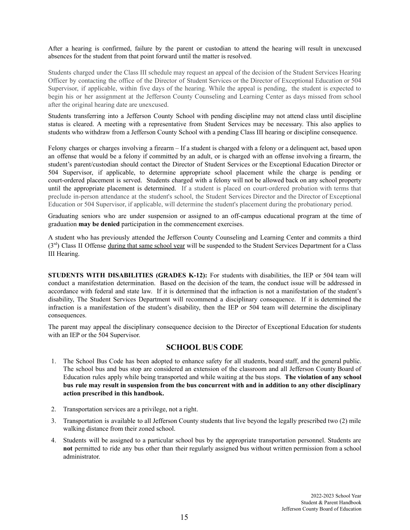After a hearing is confirmed, failure by the parent or custodian to attend the hearing will result in unexcused absences for the student from that point forward until the matter is resolved.

Students charged under the Class III schedule may request an appeal of the decision of the Student Services Hearing Officer by contacting the office of the Director of Student Services or the Director of Exceptional Education or 504 Supervisor, if applicable, within five days of the hearing. While the appeal is pending, the student is expected to begin his or her assignment at the Jefferson County Counseling and Learning Center as days missed from school after the original hearing date are unexcused.

Students transferring into a Jefferson County School with pending discipline may not attend class until discipline status is cleared. A meeting with a representative from Student Services may be necessary. This also applies to students who withdraw from a Jefferson County School with a pending Class III hearing or discipline consequence.

Felony charges or charges involving a firearm – If a student is charged with a felony or a delinquent act, based upon an offense that would be a felony if committed by an adult, or is charged with an offense involving a firearm, the student's parent/custodian should contact the Director of Student Services or the Exceptional Education Director or 504 Supervisor, if applicable, to determine appropriate school placement while the charge is pending or court-ordered placement is served. Students charged with a felony will not be allowed back on any school property until the appropriate placement is determined. If a student is placed on court-ordered probation with terms that preclude in-person attendance at the student's school, the Student Services Director and the Director of Exceptional Education or 504 Supervisor, if applicable, will determine the student's placement during the probationary period.

Graduating seniors who are under suspension or assigned to an off-campus educational program at the time of graduation **may be denied** participation in the commencement exercises.

A student who has previously attended the Jefferson County Counseling and Learning Center and commits a third  $(3<sup>rd</sup>)$  Class II Offense during that same school year will be suspended to the Student Services Department for a Class III Hearing.

**STUDENTS WITH DISABILITIES (GRADES K-12):** For students with disabilities, the IEP or 504 team will conduct a manifestation determination. Based on the decision of the team, the conduct issue will be addressed in accordance with federal and state law. If it is determined that the infraction is not a manifestation of the student's disability, The Student Services Department will recommend a disciplinary consequence. If it is determined the infraction is a manifestation of the student's disability, then the IEP or 504 team will determine the disciplinary consequences.

The parent may appeal the disciplinary consequence decision to the Director of Exceptional Education for students with an IEP or the 504 Supervisor.

# **SCHOOL BUS CODE**

- 1. The School Bus Code has been adopted to enhance safety for all students, board staff, and the general public. The school bus and bus stop are considered an extension of the classroom and all Jefferson County Board of Education rules apply while being transported and while waiting at the bus stops. **The violation of any school** bus rule may result in suspension from the bus concurrent with and in addition to any other disciplinary **action prescribed in this handbook.**
- 2. Transportation services are a privilege, not a right.
- 3. Transportation is available to all Jefferson County students that live beyond the legally prescribed two (2) mile walking distance from their zoned school.
- 4. Students will be assigned to a particular school bus by the appropriate transportation personnel. Students are **not** permitted to ride any bus other than their regularly assigned bus without written permission from a school administrator.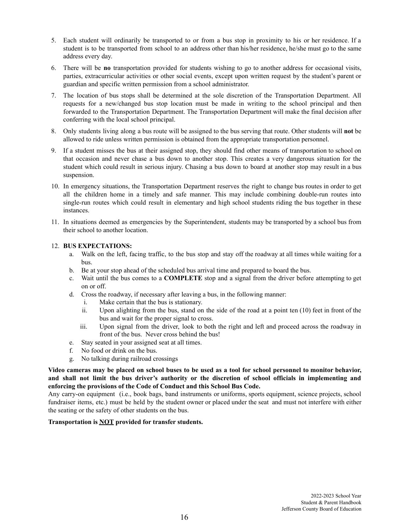- 5. Each student will ordinarily be transported to or from a bus stop in proximity to his or her residence. If a student is to be transported from school to an address other than his/her residence, he/she must go to the same address every day.
- 6. There will be **no** transportation provided for students wishing to go to another address for occasional visits, parties, extracurricular activities or other social events, except upon written request by the student's parent or guardian and specific written permission from a school administrator.
- 7. The location of bus stops shall be determined at the sole discretion of the Transportation Department. All requests for a new/changed bus stop location must be made in writing to the school principal and then forwarded to the Transportation Department. The Transportation Department will make the final decision after conferring with the local school principal.
- 8. Only students living along a bus route will be assigned to the bus serving that route. Other students will **not** be allowed to ride unless written permission is obtained from the appropriate transportation personnel.
- 9. If a student misses the bus at their assigned stop, they should find other means of transportation to school on that occasion and never chase a bus down to another stop. This creates a very dangerous situation for the student which could result in serious injury. Chasing a bus down to board at another stop may result in a bus suspension.
- 10. In emergency situations, the Transportation Department reserves the right to change bus routes in order to get all the children home in a timely and safe manner. This may include combining double-run routes into single-run routes which could result in elementary and high school students riding the bus together in these instances.
- 11. In situations deemed as emergencies by the Superintendent, students may be transported by a school bus from their school to another location.

# 12. **BUS EXPECTATIONS:**

- a. Walk on the left, facing traffic, to the bus stop and stay off the roadway at all times while waiting for a bus.
- b. Be at your stop ahead of the scheduled bus arrival time and prepared to board the bus.
- c. Wait until the bus comes to a **COMPLETE** stop and a signal from the driver before attempting to get on or off.
- d. Cross the roadway, if necessary after leaving a bus, in the following manner:
	- i. Make certain that the bus is stationary.
	- ii. Upon alighting from the bus, stand on the side of the road at a point ten (10) feet in front of the bus and wait for the proper signal to cross.
	- iii. Upon signal from the driver, look to both the right and left and proceed across the roadway in front of the bus. Never cross behind the bus!
- e. Stay seated in your assigned seat at all times.
- f. No food or drink on the bus.
- g. No talking during railroad crossings

Video cameras may be placed on school buses to be used as a tool for school personnel to monitor behavior, **and shall not limit the bus driver's authority or the discretion of school officials in implementing and enforcing the provisions of the Code of Conduct and this School Bus Code.**

Any carry-on equipment (i.e., book bags, band instruments or uniforms, sports equipment, science projects, school fundraiser items, etc.) must be held by the student owner or placed under the seat and must not interfere with either the seating or the safety of other students on the bus.

# **Transportation is NOT provided for transfer students.**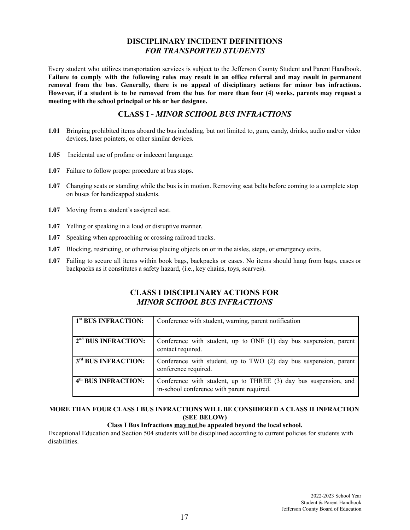# **DISCIPLINARY INCIDENT DEFINITIONS** *FOR TRANSPORTED STUDENTS*

Every student who utilizes transportation services is subject to the Jefferson County Student and Parent Handbook. Failure to comply with the following rules may result in an office referral and may result in permanent **removal from the bus**. **Generally, there is no appeal of disciplinary actions for minor bus infractions.** However, if a student is to be removed from the bus for more than four (4) weeks, parents may request a **meeting with the school principal or his or her designee.**

# **CLASS I -** *MINOR SCHOOL BUS INFRACTIONS*

- **1.01** Bringing prohibited items aboard the bus including, but not limited to, gum, candy, drinks, audio and/or video devices, laser pointers, or other similar devices.
- **1.05** Incidental use of profane or indecent language.
- **1.07** Failure to follow proper procedure at bus stops.
- **1.07** Changing seats or standing while the bus is in motion. Removing seat belts before coming to a complete stop on buses for handicapped students.
- **1.07** Moving from a student's assigned seat.
- **1.07** Yelling or speaking in a loud or disruptive manner.
- **1.07** Speaking when approaching or crossing railroad tracks.
- **1.07** Blocking, restricting, or otherwise placing objects on or in the aisles, steps, or emergency exits.
- **1.07** Failing to secure all items within book bags, backpacks or cases. No items should hang from bags, cases or backpacks as it constitutes a safety hazard, (i.e., key chains, toys, scarves).

# **CLASS I DISCIPLINARY ACTIONS FOR** *MINOR SCHOOL BUS INFRACTIONS*

| 1 <sup>st</sup> BUS INFRACTION: | Conference with student, warning, parent notification                                                          |  |
|---------------------------------|----------------------------------------------------------------------------------------------------------------|--|
| 2 <sup>nd</sup> BUS INFRACTION: | Conference with student, up to ONE $(1)$ day bus suspension, parent<br>contact required.                       |  |
| 3rd BUS INFRACTION:             | Conference with student, up to TWO (2) day bus suspension, parent<br>conference required.                      |  |
| 4 <sup>th</sup> BUS INFRACTION: | Conference with student, up to THREE (3) day bus suspension, and<br>in-school conference with parent required. |  |

# **MORE THAN FOUR CLASS I BUS INFRACTIONS WILL BE CONSIDERED A CLASS II INFRACTION (SEE BELOW)**

# **Class I Bus Infractions may not be appealed beyond the local school.**

Exceptional Education and Section 504 students will be disciplined according to current policies for students with disabilities.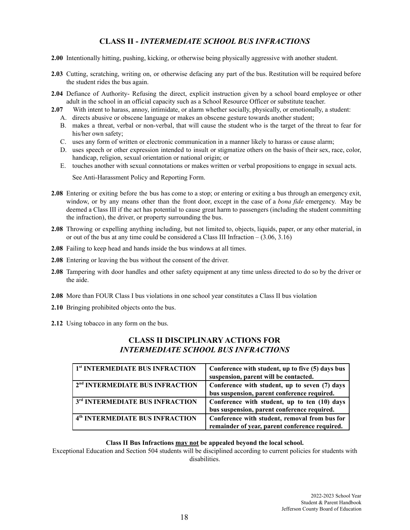# **CLASS II -** *INTERMEDIATE SCHOOL BUS INFRACTIONS*

- **2.00** Intentionally hitting, pushing, kicking, or otherwise being physically aggressive with another student.
- **2.03** Cutting, scratching, writing on, or otherwise defacing any part of the bus. Restitution will be required before the student rides the bus again.
- **2.04** Defiance of Authority- Refusing the direct, explicit instruction given by a school board employee or other adult in the school in an official capacity such as a School Resource Officer or substitute teacher.
- **2.07** With intent to harass, annoy, intimidate, or alarm whether socially, physically, or emotionally, a student:
	- A. directs abusive or obscene language or makes an obscene gesture towards another student;
	- B. makes a threat, verbal or non-verbal, that will cause the student who is the target of the threat to fear for his/her own safety;
	- C. uses any form of written or electronic communication in a manner likely to harass or cause alarm;
	- D. uses speech or other expression intended to insult or stigmatize others on the basis of their sex, race, color, handicap, religion, sexual orientation or national origin; or
	- E. touches another with sexual connotations or makes written or verbal propositions to engage in sexual acts.

See Anti-Harassment Policy and Reporting Form.

- **2.08** Entering or exiting before the bus has come to a stop; or entering or exiting a bus through an emergency exit, window, or by any means other than the front door, except in the case of a *bona fide* emergency. May be deemed a Class III if the act has potential to cause great harm to passengers (including the student committing the infraction), the driver, or property surrounding the bus.
- **2.08** Throwing or expelling anything including, but not limited to, objects, liquids, paper, or any other material, in or out of the bus at any time could be considered a Class III Infraction – (3.06, 3.16)
- **2.08** Failing to keep head and hands inside the bus windows at all times.
- **2.08** Entering or leaving the bus without the consent of the driver.
- **2.08** Tampering with door handles and other safety equipment at any time unless directed to do so by the driver or the aide.
- **2.08** More than FOUR Class I bus violations in one school year constitutes a Class II bus violation
- **2.10** Bringing prohibited objects onto the bus.
- **2.12** Using tobacco in any form on the bus.

# **CLASS II DISCIPLINARY ACTIONS FOR** *INTERMEDIATE SCHOOL BUS INFRACTIONS*

| 1 <sup>st</sup> INTERMEDIATE BUS INFRACTION | Conference with student, up to five (5) days bus<br>suspension, parent will be contacted.       |
|---------------------------------------------|-------------------------------------------------------------------------------------------------|
| 2 <sup>nd</sup> INTERMEDIATE BUS INFRACTION | Conference with student, up to seven (7) days<br>bus suspension, parent conference required.    |
| 3rd INTERMEDIATE BUS INFRACTION             | Conference with student, up to ten (10) days<br>bus suspension, parent conference required.     |
| 4 <sup>th</sup> INTERMEDIATE BUS INFRACTION | Conference with student, removal from bus for<br>remainder of year, parent conference required. |

# **Class II Bus Infractions may not be appealed beyond the local school.**

Exceptional Education and Section 504 students will be disciplined according to current policies for students with disabilities.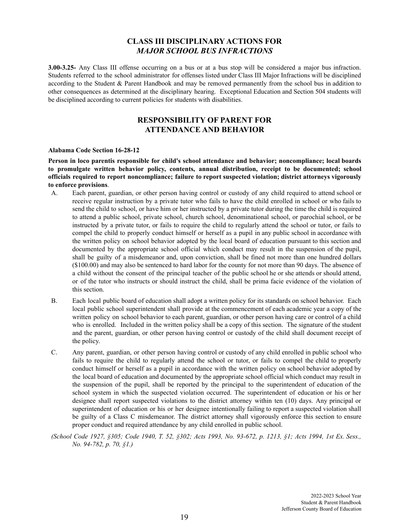# **CLASS III DISCIPLINARY ACTIONS FOR** *MAJOR SCHOOL BUS INFRACTIONS*

**3.00-3.25-** Any Class III offense occurring on a bus or at a bus stop will be considered a major bus infraction. Students referred to the school administrator for offenses listed under Class III Major Infractions will be disciplined according to the Student & Parent Handbook and may be removed permanently from the school bus in addition to other consequences as determined at the disciplinary hearing. Exceptional Education and Section 504 students will be disciplined according to current policies for students with disabilities.

# **RESPONSIBILITY OF PARENT FOR ATTENDANCE AND BEHAVIOR**

#### **Alabama Code Section 16-28-12**

**Person in loco parentis responsible for child's school attendance and behavior; noncompliance; local boards to promulgate written behavior policy, contents, annual distribution, receipt to be documented; school officials required to report noncompliance; failure to report suspected violation; district attorneys vigorously to enforce provisions**.

- A. Each parent, guardian, or other person having control or custody of any child required to attend school or receive regular instruction by a private tutor who fails to have the child enrolled in school or who fails to send the child to school, or have him or her instructed by a private tutor during the time the child is required to attend a public school, private school, church school, denominational school, or parochial school, or be instructed by a private tutor, or fails to require the child to regularly attend the school or tutor, or fails to compel the child to properly conduct himself or herself as a pupil in any public school in accordance with the written policy on school behavior adopted by the local board of education pursuant to this section and documented by the appropriate school official which conduct may result in the suspension of the pupil, shall be guilty of a misdemeanor and, upon conviction, shall be fined not more than one hundred dollars (\$100.00) and may also be sentenced to hard labor for the county for not more than 90 days. The absence of a child without the consent of the principal teacher of the public school he or she attends or should attend, or of the tutor who instructs or should instruct the child, shall be prima facie evidence of the violation of this section.
- B. Each local public board of education shall adopt a written policy for its standards on school behavior. Each local public school superintendent shall provide at the commencement of each academic year a copy of the written policy on school behavior to each parent, guardian, or other person having care or control of a child who is enrolled. Included in the written policy shall be a copy of this section. The signature of the student and the parent, guardian, or other person having control or custody of the child shall document receipt of the policy.
- C. Any parent, guardian, or other person having control or custody of any child enrolled in public school who fails to require the child to regularly attend the school or tutor, or fails to compel the child to properly conduct himself or herself as a pupil in accordance with the written policy on school behavior adopted by the local board of education and documented by the appropriate school official which conduct may result in the suspension of the pupil, shall be reported by the principal to the superintendent of education of the school system in which the suspected violation occurred. The superintendent of education or his or her designee shall report suspected violations to the district attorney within ten (10) days. Any principal or superintendent of education or his or her designee intentionally failing to report a suspected violation shall be guilty of a Class C misdemeanor. The district attorney shall vigorously enforce this section to ensure proper conduct and required attendance by any child enrolled in public school.
- (School Code 1927, §305; Code 1940, T. 52, §302; Acts 1993, No. 93-672, p. 1213, §1; Acts 1994, 1st Ex. Sess., *No. 94-782, p. 70, §1.)*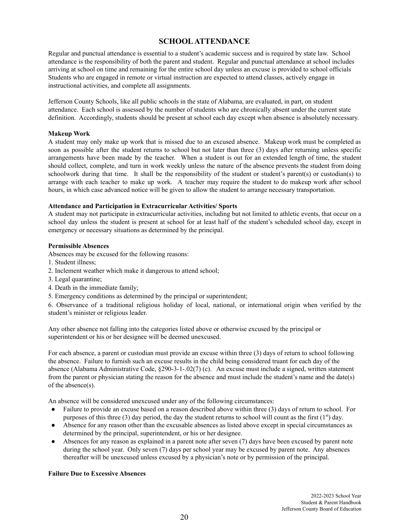# **SCHOOLATTENDANCE**

Regular and punctual attendance is essential to a student's academic success and is required by state law. School attendance is the responsibility of both the parent and student. Regular and punctual attendance at school includes arriving at school on time and remaining for the entire school day unless an excuse is provided to school officials Students who are engaged in remote or virtual instruction are expected to attend classes, actively engage in instructional activities, and complete all assignments.

Jefferson County Schools, like all public schools in the state of Alabama, are evaluated, in part, on student attendance. Each school is assessed by the number of students who are chronically absent under the current state definition. Accordingly, students should be present at school each day except when absence is absolutely necessary.

#### **Makeup Work**

A student may only make up work that is missed due to an excused absence. Makeup work must be completed as soon as possible after the student returns to school but not later than three (3) days after returning unless specific arrangements have been made by the teacher. When a student is out for an extended length of time, the student should collect, complete, and turn in work weekly unless the nature of the absence prevents the student from doing schoolwork during that time. It shall be the responsibility of the student or student's parent(s) or custodian(s) to arrange with each teacher to make up work. A teacher may require the student to do makeup work after school hours, in which case advanced notice will be given to allow the student to arrange necessary transportation.

#### **Attendance and Participation in Extracurricular Activities/ Sports**

A student may not participate in extracurricular activities, including but not limited to athletic events, that occur on a school day unless the student is present at school for at least half of the student's scheduled school day, except in emergency or necessary situations as determined by the principal.

#### **Permissible Absences**

Absences may be excused for the following reasons:

- 1. Student illness;
- 2. Inclement weather which make it dangerous to attend school;
- 3. Legal quarantine;
- 4. Death in the immediate family;
- 5. Emergency conditions as determined by the principal or superintendent;

6. Observance of a traditional religious holiday of local, national, or international origin when verified by the student's minister or religious leader.

Any other absence not falling into the categories listed above or otherwise excused by the principal or superintendent or his or her designee will be deemed unexcused.

For each absence, a parent or custodian must provide an excuse within three (3) days of return to school following the absence. Failure to furnish such an excuse results in the child being considered truant for each day of the absence (Alabama Administrative Code, §290-3-1-.02(7) (c). An excuse must include a signed, written statement from the parent or physician stating the reason for the absence and must include the student's name and the date(s) of the absence(s).

An absence will be considered unexcused under any of the following circumstances:

- Failure to provide an excuse based on a reason described above within three (3) days of return to school. For purposes of this three (3) day period, the day the student returns to school will count as the first  $(1<sup>st</sup>)$  day.
- Absence for any reason other than the excusable absences as listed above except in special circumstances as determined by the principal, superintendent, or his or her designee.
- Absences for any reason as explained in a parent note after seven (7) days have been excused by parent note during the school year. Only seven (7) days per school year may be excused by parent note. Any absences thereafter will be unexcused unless excused by a physician's note or by permission of the principal.

# **Failure Due to Excessive Absences**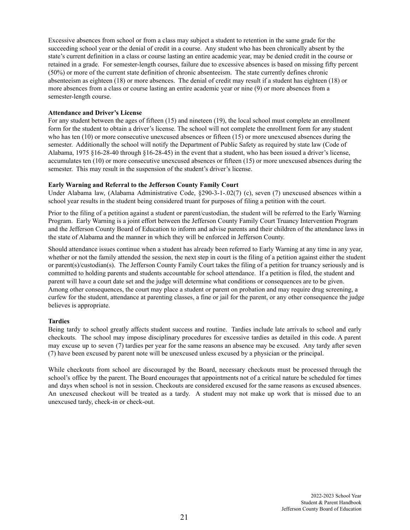Excessive absences from school or from a class may subject a student to retention in the same grade for the succeeding school year or the denial of credit in a course. Any student who has been chronically absent by the state's current definition in a class or course lasting an entire academic year, may be denied credit in the course or retained in a grade. For semester-length courses, failure due to excessive absences is based on missing fifty percent (50%) or more of the current state definition of chronic absenteeism. The state currently defines chronic absenteeism as eighteen (18) or more absences. The denial of credit may result if a student has eighteen (18) or more absences from a class or course lasting an entire academic year or nine (9) or more absences from a semester-length course.

#### **Attendance and Driver's License**

For any student between the ages of fifteen (15) and nineteen (19), the local school must complete an enrollment form for the student to obtain a driver's license. The school will not complete the enrollment form for any student who has ten (10) or more consecutive unexcused absences or fifteen (15) or more unexcused absences during the semester. Additionally the school will notify the Department of Public Safety as required by state law (Code of Alabama, 1975 §16-28-40 through §16-28-45) in the event that a student, who has been issued a driver's license, accumulates ten (10) or more consecutive unexcused absences or fifteen (15) or more unexcused absences during the semester. This may result in the suspension of the student's driver's license.

#### **Early Warning and Referral to the Jefferson County Family Court**

Under Alabama law, (Alabama Administrative Code, §290-3-1-.02(7) (c), seven (7) unexcused absences within a school year results in the student being considered truant for purposes of filing a petition with the court.

Prior to the filing of a petition against a student or parent/custodian, the student will be referred to the Early Warning Program. Early Warning is a joint effort between the Jefferson County Family Court Truancy Intervention Program and the Jefferson County Board of Education to inform and advise parents and their children of the attendance laws in the state of Alabama and the manner in which they will be enforced in Jefferson County.

Should attendance issues continue when a student has already been referred to Early Warning at any time in any year, whether or not the family attended the session, the next step in court is the filing of a petition against either the student or parent(s)/custodian(s). The Jefferson County Family Court takes the filing of a petition for truancy seriously and is committed to holding parents and students accountable for school attendance. If a petition is filed, the student and parent will have a court date set and the judge will determine what conditions or consequences are to be given. Among other consequences, the court may place a student or parent on probation and may require drug screening, a curfew for the student, attendance at parenting classes, a fine or jail for the parent, or any other consequence the judge believes is appropriate.

#### **Tardies**

Being tardy to school greatly affects student success and routine. Tardies include late arrivals to school and early checkouts. The school may impose disciplinary procedures for excessive tardies as detailed in this code. A parent may excuse up to seven (7) tardies per year for the same reasons an absence may be excused. Any tardy after seven (7) have been excused by parent note will be unexcused unless excused by a physician or the principal.

While checkouts from school are discouraged by the Board, necessary checkouts must be processed through the school's office by the parent. The Board encourages that appointments not of a critical nature be scheduled for times and days when school is not in session. Checkouts are considered excused for the same reasons as excused absences. An unexcused checkout will be treated as a tardy. A student may not make up work that is missed due to an unexcused tardy, check-in or check-out.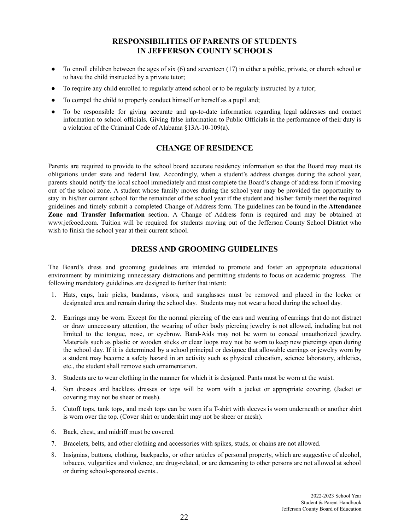# **RESPONSIBILITIES OF PARENTS OF STUDENTS IN JEFFERSON COUNTY SCHOOLS**

- $\bullet$  To enroll children between the ages of six (6) and seventeen (17) in either a public, private, or church school or to have the child instructed by a private tutor;
- To require any child enrolled to regularly attend school or to be regularly instructed by a tutor;
- To compel the child to properly conduct himself or herself as a pupil and;
- To be responsible for giving accurate and up-to-date information regarding legal addresses and contact information to school officials. Giving false information to Public Officials in the performance of their duty is a violation of the Criminal Code of Alabama §13A-10-109(a).

# **CHANGE OF RESIDENCE**

Parents are required to provide to the school board accurate residency information so that the Board may meet its obligations under state and federal law. Accordingly, when a student's address changes during the school year, parents should notify the local school immediately and must complete the Board's change of address form if moving out of the school zone. A student whose family moves during the school year may be provided the opportunity to stay in his/her current school for the remainder of the school year if the student and his/her family meet the required guidelines and timely submit a completed Change of Address form. The guidelines can be found in the **Attendance Zone and Transfer Information** section. A Change of Address form is required and may be obtained at www.jefcoed.com. Tuition will be required for students moving out of the Jefferson County School District who wish to finish the school year at their current school.

# **DRESS AND GROOMING GUIDELINES**

The Board's dress and grooming guidelines are intended to promote and foster an appropriate educational environment by minimizing unnecessary distractions and permitting students to focus on academic progress. The following mandatory guidelines are designed to further that intent:

- 1. Hats, caps, hair picks, bandanas, visors, and sunglasses must be removed and placed in the locker or designated area and remain during the school day. Students may not wear a hood during the school day.
- 2. Earrings may be worn. Except for the normal piercing of the ears and wearing of earrings that do not distract or draw unnecessary attention, the wearing of other body piercing jewelry is not allowed, including but not limited to the tongue, nose, or eyebrow. Band-Aids may not be worn to conceal unauthorized jewelry. Materials such as plastic or wooden sticks or clear loops may not be worn to keep new piercings open during the school day. If it is determined by a school principal or designee that allowable earrings or jewelry worn by a student may become a safety hazard in an activity such as physical education, science laboratory, athletics, etc., the student shall remove such ornamentation.
- 3. Students are to wear clothing in the manner for which it is designed. Pants must be worn at the waist.
- 4. Sun dresses and backless dresses or tops will be worn with a jacket or appropriate covering. (Jacket or covering may not be sheer or mesh).
- 5. Cutoff tops, tank tops, and mesh tops can be worn if a T-shirt with sleeves is worn underneath or another shirt is worn over the top. (Cover shirt or undershirt may not be sheer or mesh).
- 6. Back, chest, and midriff must be covered.
- 7. Bracelets, belts, and other clothing and accessories with spikes, studs, or chains are not allowed.
- 8. Insignias, buttons, clothing, backpacks, or other articles of personal property, which are suggestive of alcohol, tobacco, vulgarities and violence, are drug-related, or are demeaning to other persons are not allowed at school or during school-sponsored events..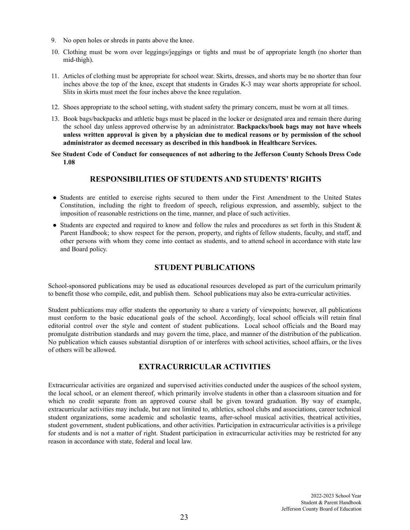- 9. No open holes or shreds in pants above the knee.
- 10. Clothing must be worn over leggings/jeggings or tights and must be of appropriate length (no shorter than mid-thigh).
- 11. Articles of clothing must be appropriate for school wear. Skirts, dresses, and shorts may be no shorter than four inches above the top of the knee, except that students in Grades K-3 may wear shorts appropriate for school. Slits in skirts must meet the four inches above the knee regulation.
- 12. Shoes appropriate to the school setting, with student safety the primary concern, must be worn at all times.
- 13. Book bags/backpacks and athletic bags must be placed in the locker or designated area and remain there during the school day unless approved otherwise by an administrator. **Backpacks/book bags may not have wheels** unless written approval is given by a physician due to medical reasons or by permission of the school **administrator as deemed necessary as described in this handbook in Healthcare Services.**
- **See Student Code of Conduct for consequences of not adhering to the Jefferson County Schools Dress Code 1.08**

# **RESPONSIBILITIES OF STUDENTS AND STUDENTS' RIGHTS**

- Students are entitled to exercise rights secured to them under the First Amendment to the United States Constitution, including the right to freedom of speech, religious expression, and assembly, subject to the imposition of reasonable restrictions on the time, manner, and place of such activities.
- Students are expected and required to know and follow the rules and procedures as set forth in this Student & Parent Handbook; to show respect for the person, property, and rights of fellow students, faculty, and staff, and other persons with whom they come into contact as students, and to attend school in accordance with state law and Board policy.

# **STUDENT PUBLICATIONS**

School-sponsored publications may be used as educational resources developed as part of the curriculum primarily to benefit those who compile, edit, and publish them. School publications may also be extra-curricular activities.

Student publications may offer students the opportunity to share a variety of viewpoints; however, all publications must conform to the basic educational goals of the school. Accordingly, local school officials will retain final editorial control over the style and content of student publications. Local school officials and the Board may promulgate distribution standards and may govern the time, place, and manner of the distribution of the publication. No publication which causes substantial disruption of or interferes with school activities, school affairs, or the lives of others will be allowed.

# **EXTRACURRICULAR ACTIVITIES**

Extracurricular activities are organized and supervised activities conducted under the auspices of the school system, the local school, or an element thereof, which primarily involve students in other than a classroom situation and for which no credit separate from an approved course shall be given toward graduation. By way of example, extracurricular activities may include, but are not limited to, athletics, school clubs and associations, career technical student organizations, some academic and scholastic teams, after-school musical activities, theatrical activities, student government, student publications, and other activities. Participation in extracurricular activities is a privilege for students and is not a matter of right. Student participation in extracurricular activities may be restricted for any reason in accordance with state, federal and local law.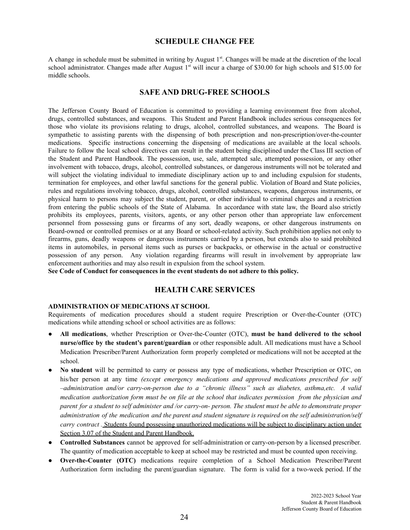# **SCHEDULE CHANGE FEE**

A change in schedule must be submitted in writing by August  $1<sup>st</sup>$ . Changes will be made at the discretion of the local school administrator. Changes made after August  $1<sup>st</sup>$  will incur a charge of \$30.00 for high schools and \$15.00 for middle schools.

# **SAFE AND DRUG-FREE SCHOOLS**

The Jefferson County Board of Education is committed to providing a learning environment free from alcohol, drugs, controlled substances, and weapons. This Student and Parent Handbook includes serious consequences for those who violate its provisions relating to drugs, alcohol, controlled substances, and weapons. The Board is sympathetic to assisting parents with the dispensing of both prescription and non-prescription/over-the-counter medications. Specific instructions concerning the dispensing of medications are available at the local schools. Failure to follow the local school directives can result in the student being disciplined under the Class III section of the Student and Parent Handbook. The possession, use, sale, attempted sale, attempted possession, or any other involvement with tobacco, drugs, alcohol, controlled substances, or dangerous instruments will not be tolerated and will subject the violating individual to immediate disciplinary action up to and including expulsion for students, termination for employees, and other lawful sanctions for the general public. Violation of Board and State policies, rules and regulations involving tobacco, drugs, alcohol, controlled substances, weapons, dangerous instruments, or physical harm to persons may subject the student, parent, or other individual to criminal charges and a restriction from entering the public schools of the State of Alabama. In accordance with state law, the Board also strictly prohibits its employees, parents, visitors, agents, or any other person other than appropriate law enforcement personnel from possessing guns or firearms of any sort, deadly weapons, or other dangerous instruments on Board-owned or controlled premises or at any Board or school-related activity. Such prohibition applies not only to firearms, guns, deadly weapons or dangerous instruments carried by a person, but extends also to said prohibited items in automobiles, in personal items such as purses or backpacks, or otherwise in the actual or constructive possession of any person. Any violation regarding firearms will result in involvement by appropriate law enforcement authorities and may also result in expulsion from the school system.

**See Code of Conduct for consequences in the event students do not adhere to this policy.**

# **HEALTH CARE SERVICES**

#### **ADMINISTRATION OF MEDICATIONS AT SCHOOL**

Requirements of medication procedures should a student require Prescription or Over-the-Counter (OTC) medications while attending school or school activities are as follows:

- **All medications**, whether Prescription or Over-the-Counter (OTC), **must be hand delivered to the school nurse/office by the student's parent/guardian** or other responsible adult. All medications must have a School Medication Prescriber/Parent Authorization form properly completed or medications will not be accepted at the school.
- **No student** will be permitted to carry or possess any type of medications, whether Prescription or OTC, on his/her person at any time *(except emergency medications and approved medications prescribed for self –administration and/or carry-on-person due to a "chronic illness" such as diabetes, asthma,etc. A valid* medication authorization form must be on file at the school that indicates permission from the physician and parent for a student to self administer and /or carry-on- person. The student must be able to demonstrate proper administration of the medication and the parent and student signature is required on the self administration/self *carry contract .* Students found possessing unauthorized medications will be subject to disciplinary action under Section 3.07 of the Student and Parent Handbook.
- **Controlled Substances** cannot be approved for self-administration or carry-on-person by a licensed prescriber. The quantity of medication acceptable to keep at school may be restricted and must be counted upon receiving.
- **Over-the-Counter (OTC)** medications require completion of a School Medication Prescriber/Parent Authorization form including the parent/guardian signature. The form is valid for a two-week period. If the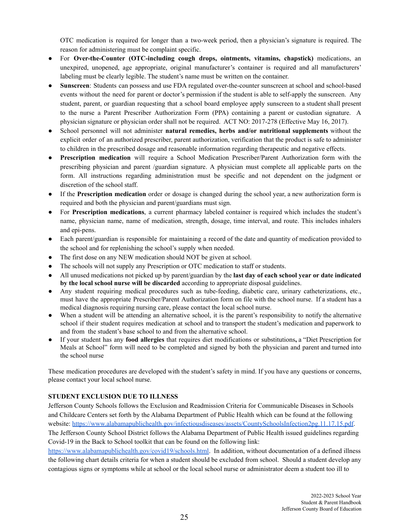OTC medication is required for longer than a two-week period, then a physician's signature is required. The reason for administering must be complaint specific.

- For **Over-the-Counter (OTC-including cough drops, ointments, vitamins, chapstick)** medications, an unexpired, unopened, age appropriate, original manufacturer's container is required and all manufacturers' labeling must be clearly legible. The student's name must be written on the container.
- **Sunscreen**: Students can possess and use FDA regulated over-the-counter sunscreen at school and school-based events without the need for parent or doctor's permission if the student is able to self-apply the sunscreen. Any student, parent, or guardian requesting that a school board employee apply sunscreen to a student shall present to the nurse a Parent Prescriber Authorization Form (PPA) containing a parent or custodian signature. A physician signature or physician order shall not be required. ACT NO: 2017-278 (Effective May 16, 2017).
- School personnel will not administer **natural remedies, herbs and/or nutritional supplements** without the explicit order of an authorized prescriber, parent authorization, verification that the product is safe to administer to children in the prescribed dosage and reasonable information regarding therapeutic and negative effects.
- **Prescription medication** will require a School Medication Prescriber/Parent Authorization form with the prescribing physician and parent /guardian signature. A physician must complete all applicable parts on the form. All instructions regarding administration must be specific and not dependent on the judgment or discretion of the school staff.
- If the **Prescription medication** order or dosage is changed during the school year, a new authorization form is required and both the physician and parent/guardians must sign.
- For **Prescription medications**, a current pharmacy labeled container is required which includes the student's name, physician name, name of medication, strength, dosage, time interval, and route. This includes inhalers and epi-pens.
- Each parent/guardian is responsible for maintaining a record of the date and quantity of medication provided to the school and for replenishing the school's supply when needed.
- The first dose on any NEW medication should NOT be given at school.
- The schools will not supply any Prescription or OTC medication to staff or students.
- All unused medications not picked up by parent/guardian by the **last day of each school year or date indicated by the local school nurse will be discarded** according to appropriate disposal guidelines.
- Any student requiring medical procedures such as tube-feeding, diabetic care, urinary catheterizations, etc., must have the appropriate Prescriber/Parent Authorization form on file with the school nurse. If a student has a medical diagnosis requiring nursing care, please contact the local school nurse.
- When a student will be attending an alternative school, it is the parent's responsibility to notify the alternative school if their student requires medication at school and to transport the student's medication and paperwork to and from the student's base school to and from the alternative school.
- If your student has any **food allergies** that requires diet modifications or substitutions**,** a "Diet Prescription for Meals at School" form will need to be completed and signed by both the physician and parent and turned into the school nurse

These medication procedures are developed with the student's safety in mind. If you have any questions or concerns, please contact your local school nurse.

# **STUDENT EXCLUSION DUE TO ILLNESS**

Jefferson County Schools follows the Exclusion and Readmission Criteria for [Communicable](https://www.alabamapublichealth.gov/infectiousdiseases/assets/countyschoolsinfection2pg.11.17.15.pdf) Diseases in Schools and [Childcare](https://www.alabamapublichealth.gov/infectiousdiseases/assets/countyschoolsinfection2pg.11.17.15.pdf) Centers set forth by the Alabama Department of Public Health which can be found at the following website: <https://www.alabamapublichealth.gov/infectiousdiseases/assets/CountySchoolsInfection2pg.11.17.15.pdf>. The Jefferson County School District follows the Alabama Department of Public Health issued guidelines regarding Covid-19 in the Back to School toolkit that can be found on the following link:

<https://www.alabamapublichealth.gov/covid19/schools.html>. In addition, without documentation of a defined illness the following chart details criteria for when a student should be excluded from school. Should a student develop any contagious signs or symptoms while at school or the local school nurse or administrator deem a student too ill to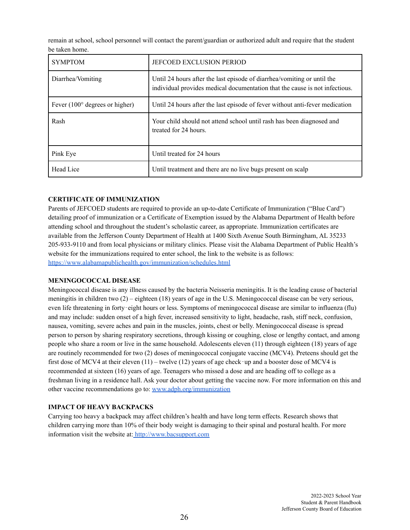remain at school, school personnel will contact the parent/guardian or authorized adult and require that the student be taken home.

| <b>SYMPTOM</b>                          | <b>JEFCOED EXCLUSION PERIOD</b>                                                                                                                        |
|-----------------------------------------|--------------------------------------------------------------------------------------------------------------------------------------------------------|
| Diarrhea/Vomiting                       | Until 24 hours after the last episode of diarrhea/vomiting or until the<br>individual provides medical documentation that the cause is not infectious. |
| Fever $(100^{\circ}$ degrees or higher) | Until 24 hours after the last episode of fever without anti-fever medication                                                                           |
| Rash                                    | Your child should not attend school until rash has been diagnosed and<br>treated for 24 hours.                                                         |
| Pink Eye                                | Until treated for 24 hours                                                                                                                             |
| Head Lice                               | Until treatment and there are no live bugs present on scalp                                                                                            |

# **CERTIFICATE OF IMMUNIZATION**

Parents of JEFCOED students are required to provide an up-to-date Certificate of Immunization ("Blue Card") detailing proof of immunization or a Certificate of Exemption issued by the Alabama Department of Health before attending school and throughout the student's scholastic career, as appropriate. Immunization certificates are available from the Jefferson County Department of Health at 1400 Sixth Avenue South Birmingham, AL 35233 205-933-9110 and from local physicians or military clinics. Please visit the Alabama Department of Public Health's website for the immunizations required to enter school, the link to the website is as follows: <https://www.alabamapublichealth.gov/immunization/schedules.html>

# **MENINGOCOCCAL DISEASE**

Meningococcal disease is any illness caused by the bacteria Neisseria meningitis. It is the leading cause of bacterial meningitis in children two (2) – eighteen (18) years of age in the U.S. Meningococcal disease can be very serious, even life threatening in forty‐eight hours or less. Symptoms of meningococcal disease are similar to influenza (flu) and may include: sudden onset of a high fever, increased sensitivity to light, headache, rash, stiff neck, confusion, nausea, vomiting, severe aches and pain in the muscles, joints, chest or belly. Meningococcal disease is spread person to person by sharing respiratory secretions, through kissing or coughing, close or lengthy contact, and among people who share a room or live in the same household. Adolescents eleven (11) through eighteen (18) years of age are routinely recommended for two (2) doses of meningococcal conjugate vaccine (MCV4). Preteens should get the first dose of MCV4 at their eleven  $(11)$  – twelve  $(12)$  years of age check-up and a booster dose of MCV4 is recommended at sixteen (16) years of age. Teenagers who missed a dose and are heading off to college as a freshman living in a residence hall. Ask your doctor about getting the vaccine now. For more information on this and other vaccine recommendations go to: [www.adph.org/immunization](http://www.adph.org/immunization)

# **IMPACT OF HEAVY BACKPACKS**

Carrying too heavy a backpack may affect children's health and have long term effects. Research shows that children carrying more than 10% of their body weight is damaging to their spinal and postural health. For more information visit the website at: <http://www.bacsupport.com>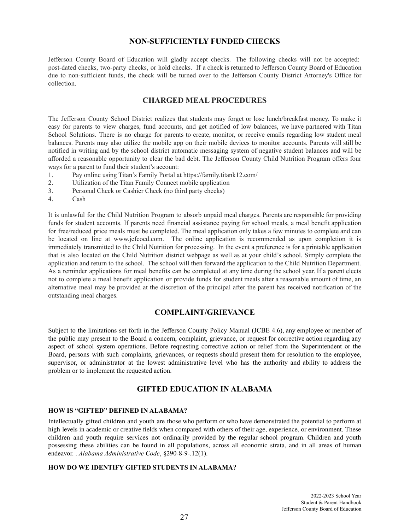# **NON-SUFFICIENTLY FUNDED CHECKS**

Jefferson County Board of Education will gladly accept checks. The following checks will not be accepted: post-dated checks, two-party checks, or hold checks. If a check is returned to Jefferson County Board of Education due to non-sufficient funds, the check will be turned over to the Jefferson County District Attorney's Office for collection.

# **CHARGED MEAL PROCEDURES**

The Jefferson County School District realizes that students may forget or lose lunch/breakfast money. To make it easy for parents to view charges, fund accounts, and get notified of low balances, we have partnered with Titan School Solutions. There is no charge for parents to create, monitor, or receive emails regarding low student meal balances. Parents may also utilize the mobile app on their mobile devices to monitor accounts. Parents will still be notified in writing and by the school district automatic messaging system of negative student balances and will be afforded a reasonable opportunity to clear the bad debt. The Jefferson County Child Nutrition Program offers four ways for a parent to fund their student's account:

- 1. Pay online using Titan's Family Portal at https://family.titank12.com/
- 2. Utilization of the Titan Family Connect mobile application
- 3. Personal Check or Cashier Check (no third party checks)
- 4. Cash

It is unlawful for the Child Nutrition Program to absorb unpaid meal charges. Parents are responsible for providing funds for student accounts. If parents need financial assistance paying for school meals, a meal benefit application for free/reduced price meals must be completed. The meal application only takes a few minutes to complete and can be located on line at www.jefcoed.com. The online application is recommended as upon completion it is immediately transmitted to the Child Nutrition for processing. In the event a preference is for a printable application that is also located on the Child Nutrition district webpage as well as at your child's school. Simply complete the application and return to the school. The school will then forward the application to the Child Nutrition Department. As a reminder applications for meal benefits can be completed at any time during the school year. If a parent elects not to complete a meal benefit application or provide funds for student meals after a reasonable amount of time, an alternative meal may be provided at the discretion of the principal after the parent has received notification of the outstanding meal charges.

# **COMPLAINT/GRIEVANCE**

Subject to the limitations set forth in the Jefferson County Policy Manual (JCBE 4.6), any employee or member of the public may present to the Board a concern, complaint, grievance, or request for corrective action regarding any aspect of school system operations. Before requesting corrective action or relief from the Superintendent or the Board, persons with such complaints, grievances, or requests should present them for resolution to the employee, supervisor, or administrator at the lowest administrative level who has the authority and ability to address the problem or to implement the requested action.

# **GIFTED EDUCATION IN ALABAMA**

# **HOW IS "GIFTED" DEFINED IN ALABAMA?**

Intellectually gifted children and youth are those who perform or who have demonstrated the potential to perform at high levels in academic or creative fields when compared with others of their age, experience, or environment. These children and youth require services not ordinarily provided by the regular school program. Children and youth possessing these abilities can be found in all populations, across all economic strata, and in all areas of human endeavor. . *Alabama Administrative Code*, §290-8-9-.12(1).

# **HOW DO WE IDENTIFY GIFTED STUDENTS IN ALABAMA?**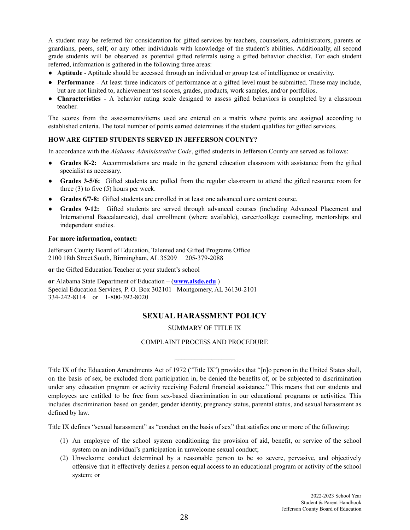A student may be referred for consideration for gifted services by teachers, counselors, administrators, parents or guardians, peers, self, or any other individuals with knowledge of the student's abilities. Additionally, all second grade students will be observed as potential gifted referrals using a gifted behavior checklist. For each student referred, information is gathered in the following three areas:

- **Aptitude** Aptitude should be accessed through an individual or group test of intelligence or creativity.
- **Performance** At least three indicators of performance at a gifted level must be submitted. These may include, but are not limited to, achievement test scores, grades, products, work samples, and/or portfolios.
- **Characteristics** A behavior rating scale designed to assess gifted behaviors is completed by a classroom teacher.

The scores from the assessments/items used are entered on a matrix where points are assigned according to established criteria. The total number of points earned determines if the student qualifies for gifted services.

# **HOW ARE GIFTED STUDENTS SERVED IN JEFFERSON COUNTY?**

In accordance with the *Alabama Administrative Code*, gifted students in Jefferson County are served as follows:

- **Grades K-2:** Accommodations are made in the general education classroom with assistance from the gifted specialist as necessary.
- **Grades 3-5/6:** Gifted students are pulled from the regular classroom to attend the gifted resource room for three (3) to five (5) hours per week.
- **Grades 6/7-8:** Gifted students are enrolled in at least one advanced core content course.
- **● Grades 9-12:** Gifted students are served through advanced courses (including Advanced Placement and International Baccalaureate), dual enrollment (where available), career/college counseling, mentorships and independent studies.

#### **For more information, contact:**

Jefferson County Board of Education, Talented and Gifted Programs Office 2100 18th Street South, Birmingham, AL 35209 205-379-2088

**or** the Gifted Education Teacher at your student's school

**or** Alabama State Department of Education – (**[www.alsde.edu](http://www.alsde.edu)** ) Special Education Services, P. O. Box 302101 Montgomery, AL 36130-2101 334-242-8114 or 1-800-392-8020

# **SEXUAL HARASSMENT POLICY**

SUMMARY OF TITLE IX

COMPLAINT PROCESS AND PROCEDURE

Title IX of the Education Amendments Act of 1972 ("Title IX") provides that "[n]o person in the United States shall, on the basis of sex, be excluded from participation in, be denied the benefits of, or be subjected to discrimination under any education program or activity receiving Federal financial assistance." This means that our students and employees are entitled to be free from sex-based discrimination in our educational programs or activities. This includes discrimination based on gender, gender identity, pregnancy status, parental status, and sexual harassment as defined by law.

Title IX defines "sexual harassment" as "conduct on the basis of sex" that satisfies one or more of the following:

- (1) An employee of the school system conditioning the provision of aid, benefit, or service of the school system on an individual's participation in unwelcome sexual conduct;
- (2) Unwelcome conduct determined by a reasonable person to be so severe, pervasive, and objectively offensive that it effectively denies a person equal access to an educational program or activity of the school system; or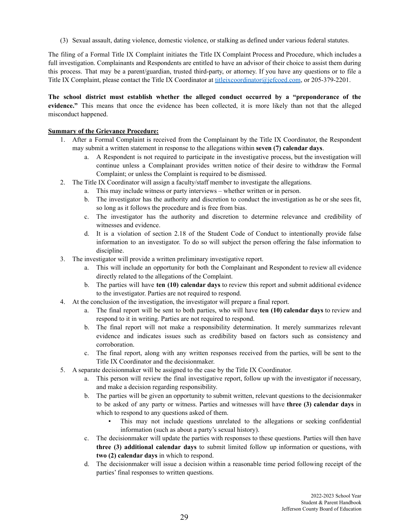(3) Sexual assault, dating violence, domestic violence, or stalking as defined under various federal statutes.

The filing of a Formal Title IX Complaint initiates the Title IX Complaint Process and Procedure, which includes a full investigation. Complainants and Respondents are entitled to have an advisor of their choice to assist them during this process. That may be a parent/guardian, trusted third-party, or attorney. If you have any questions or to file a Title IX Complaint, please contact the Title IX Coordinator at [titleixcoordinator@jefcoed.com](mailto:titleixcoordinator@jefcoed.com), or 205-379-2201.

**The school district must establish whether the alleged conduct occurred by a "preponderance of the evidence."** This means that once the evidence has been collected, it is more likely than not that the alleged misconduct happened.

# **Summary of the Grievance Procedure:**

- 1. After a Formal Complaint is received from the Complainant by the Title IX Coordinator, the Respondent may submit a written statement in response to the allegations within **seven (7) calendar days**.
	- a. A Respondent is not required to participate in the investigative process, but the investigation will continue unless a Complainant provides written notice of their desire to withdraw the Formal Complaint; or unless the Complaint is required to be dismissed.
- 2. The Title IX Coordinator will assign a faculty/staff member to investigate the allegations.
	- a. This may include witness or party interviews whether written or in person.
	- b. The investigator has the authority and discretion to conduct the investigation as he or she sees fit, so long as it follows the procedure and is free from bias.
	- c. The investigator has the authority and discretion to determine relevance and credibility of witnesses and evidence.
	- d. It is a violation of section 2.18 of the Student Code of Conduct to intentionally provide false information to an investigator. To do so will subject the person offering the false information to discipline.
- 3. The investigator will provide a written preliminary investigative report.
	- a. This will include an opportunity for both the Complainant and Respondent to review all evidence directly related to the allegations of the Complaint.
	- b. The parties will have **ten (10) calendar days** to review this report and submit additional evidence to the investigator. Parties are not required to respond.
- 4. At the conclusion of the investigation, the investigator will prepare a final report.
	- a. The final report will be sent to both parties, who will have **ten (10) calendar days** to review and respond to it in writing. Parties are not required to respond.
	- b. The final report will not make a responsibility determination. It merely summarizes relevant evidence and indicates issues such as credibility based on factors such as consistency and corroboration.
	- c. The final report, along with any written responses received from the parties, will be sent to the Title IX Coordinator and the decisionmaker.
- 5. A separate decisionmaker will be assigned to the case by the Title IX Coordinator.
	- a. This person will review the final investigative report, follow up with the investigator if necessary, and make a decision regarding responsibility.
	- b. The parties will be given an opportunity to submit written, relevant questions to the decisionmaker to be asked of any party or witness. Parties and witnesses will have **three (3) calendar days** in which to respond to any questions asked of them.
		- This may not include questions unrelated to the allegations or seeking confidential information (such as about a party's sexual history).
	- c. The decisionmaker will update the parties with responses to these questions. Parties will then have **three (3) additional calendar days** to submit limited follow up information or questions, with **two (2) calendar days** in which to respond.
	- d. The decisionmaker will issue a decision within a reasonable time period following receipt of the parties' final responses to written questions.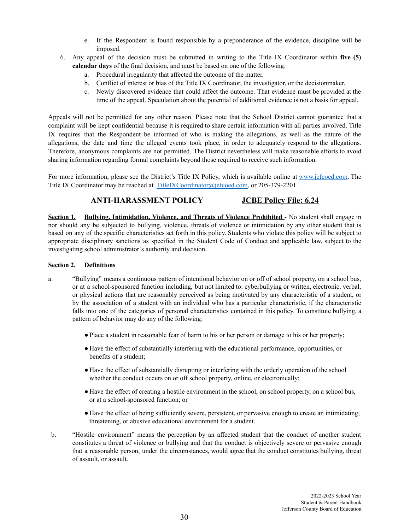- e. If the Respondent is found responsible by a preponderance of the evidence, discipline will be imposed.
- 6. Any appeal of the decision must be submitted in writing to the Title IX Coordinator within **five (5) calendar days** of the final decision, and must be based on one of the following:
	- a. Procedural irregularity that affected the outcome of the matter.
	- b. Conflict of interest or bias of the Title IX Coordinator, the investigator, or the decisionmaker.
	- c. Newly discovered evidence that could affect the outcome. That evidence must be provided at the time of the appeal. Speculation about the potential of additional evidence is not a basis for appeal.

Appeals will not be permitted for any other reason. Please note that the School District cannot guarantee that a complaint will be kept confidential because it is required to share certain information with all parties involved. Title IX requires that the Respondent be informed of who is making the allegations, as well as the nature of the allegations, the date and time the alleged events took place, in order to adequately respond to the allegations. Therefore, anonymous complaints are not permitted. The District nevertheless will make reasonable efforts to avoid sharing information regarding formal complaints beyond those required to receive such information.

For more information, please see the District's Title IX Policy, which is available online at [www.jefcoed.com](http://www.jefcoed.com). The Title IX Coordinator may be reached at [TitleIXCoordinator@jefcoed.com](mailto:TitleIXCoordinator@jefcoed.com), or 205-379-2201.

# **ANTI-HARASSMENT POLICY JCBE Policy File: 6.24**

**Section 1. Bullying, Intimidation, Violence, and Threats of Violence Prohibited** - No student shall engage in nor should any be subjected to bullying, violence, threats of violence or intimidation by any other student that is based on any of the specific characteristics set forth in this policy. Students who violate this policy will be subject to appropriate disciplinary sanctions as specified in the Student Code of Conduct and applicable law, subject to the investigating school administrator's authority and decision.

# **Section 2. Definitions**

- a. "Bullying" means a continuous pattern of intentional behavior on or off of school property, on a school bus, or at a school-sponsored function including, but not limited to: cyberbullying or written, electronic, verbal, or physical actions that are reasonably perceived as being motivated by any characteristic of a student, or by the association of a student with an individual who has a particular characteristic, if the characteristic falls into one of the categories of personal characteristics contained in this policy. To constitute bullying, a pattern of behavior may do any of the following:
	- ●Place a student in reasonable fear of harm to his or her person or damage to his or her property;
	- Have the effect of substantially interfering with the educational performance, opportunities, or benefits of a student;
	- Have the effect of substantially disrupting or interfering with the orderly operation of the school whether the conduct occurs on or off school property, online, or electronically;
	- Have the effect of creating a hostile environment in the school, on school property, on a school bus, or at a school-sponsored function; or
	- Have the effect of being sufficiently severe, persistent, or pervasive enough to create an intimidating, threatening, or abusive educational environment for a student.
- b. "Hostile environment" means the perception by an affected student that the conduct of another student constitutes a threat of violence or bullying and that the conduct is objectively severe or pervasive enough that a reasonable person, under the circumstances, would agree that the conduct constitutes bullying, threat of assault, or assault.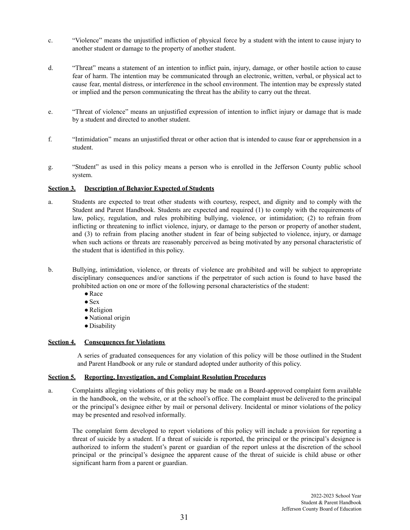- c. "Violence" means the unjustified infliction of physical force by a student with the intent to cause injury to another student or damage to the property of another student.
- d. "Threat" means a statement of an intention to inflict pain, injury, damage, or other hostile action to cause fear of harm. The intention may be communicated through an electronic, written, verbal, or physical act to cause fear, mental distress, or interference in the school environment. The intention may be expressly stated or implied and the person communicating the threat has the ability to carry out the threat.
- e. "Threat of violence" means an unjustified expression of intention to inflict injury or damage that is made by a student and directed to another student.
- f. "Intimidation" means an unjustified threat or other action that is intended to cause fear or apprehension in a student.
- g. "Student" as used in this policy means a person who is enrolled in the Jefferson County public school system.

#### **Section 3. Description of Behavior Expected of Students**

- a. Students are expected to treat other students with courtesy, respect, and dignity and to comply with the Student and Parent Handbook. Students are expected and required (1) to comply with the requirements of law, policy, regulation, and rules prohibiting bullying, violence, or intimidation; (2) to refrain from inflicting or threatening to inflict violence, injury, or damage to the person or property of another student, and (3) to refrain from placing another student in fear of being subjected to violence, injury, or damage when such actions or threats are reasonably perceived as being motivated by any personal characteristic of the student that is identified in this policy.
- b. Bullying, intimidation, violence, or threats of violence are prohibited and will be subject to appropriate disciplinary consequences and/or sanctions if the perpetrator of such action is found to have based the prohibited action on one or more of the following personal characteristics of the student:
	- ●Race
	- $\bullet$  Sex
	- ●Religion
	- National origin
	- Disability

# **Section 4. Consequences for Violations**

A series of graduated consequences for any violation of this policy will be those outlined in the Student and Parent Handbook or any rule or standard adopted under authority of this policy.

# **Section 5. Reporting, Investigation, and Complaint Resolution Procedures**

a. Complaints alleging violations of this policy may be made on a Board-approved complaint form available in the handbook, on the website, or at the school's office. The complaint must be delivered to the principal or the principal's designee either by mail or personal delivery. Incidental or minor violations of the policy may be presented and resolved informally.

The complaint form developed to report violations of this policy will include a provision for reporting a threat of suicide by a student. If a threat of suicide is reported, the principal or the principal's designee is authorized to inform the student's parent or guardian of the report unless at the discretion of the school principal or the principal's designee the apparent cause of the threat of suicide is child abuse or other significant harm from a parent or guardian.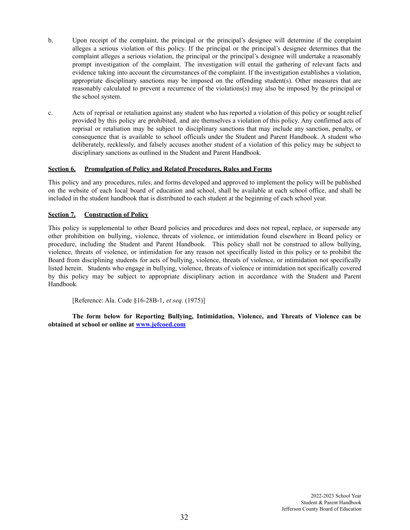- b. Upon receipt of the complaint, the principal or the principal's designee will determine if the complaint alleges a serious violation of this policy. If the principal or the principal's designee determines that the complaint alleges a serious violation, the principal or the principal's designee will undertake a reasonably prompt investigation of the complaint. The investigation will entail the gathering of relevant facts and evidence taking into account the circumstances of the complaint. If the investigation establishes a violation, appropriate disciplinary sanctions may be imposed on the offending student(s). Other measures that are reasonably calculated to prevent a recurrence of the violations(s) may also be imposed by the principal or the school system.
- c. Acts of reprisal or retaliation against any student who has reported a violation of this policy or sought relief provided by this policy are prohibited, and are themselves a violation of this policy. Any confirmed acts of reprisal or retaliation may be subject to disciplinary sanctions that may include any sanction, penalty, or consequence that is available to school officials under the Student and Parent Handbook. A student who deliberately, recklessly, and falsely accuses another student of a violation of this policy may be subject to disciplinary sanctions as outlined in the Student and Parent Handbook.

# **Section 6. Promulgation of Policy and Related Procedures, Rules and Forms**

This policy and any procedures, rules, and forms developed and approved to implement the policy will be published on the website of each local board of education and school, shall be available at each school office, and shall be included in the student handbook that is distributed to each student at the beginning of each school year.

# **Section 7. Construction of Policy**

This policy is supplemental to other Board policies and procedures and does not repeal, replace, or supersede any other prohibition on bullying, violence, threats of violence, or intimidation found elsewhere in Board policy or procedure, including the Student and Parent Handbook. This policy shall not be construed to allow bullying, violence, threats of violence, or intimidation for any reason not specifically listed in this policy or to prohibit the Board from disciplining students for acts of bullying, violence, threats of violence, or intimidation not specifically listed herein. Students who engage in bullying, violence, threats of violence or intimidation not specifically covered by this policy may be subject to appropriate disciplinary action in accordance with the Student and Parent Handbook.

[Reference: Ala. Code §16-28B-1, *et seq.* (1975)]

**The form below for Reporting Bullying, Intimidation, Violence, and Threats of Violence can be obtained at school or online at [www.jefcoed.com](http://www.jefcoed.com)**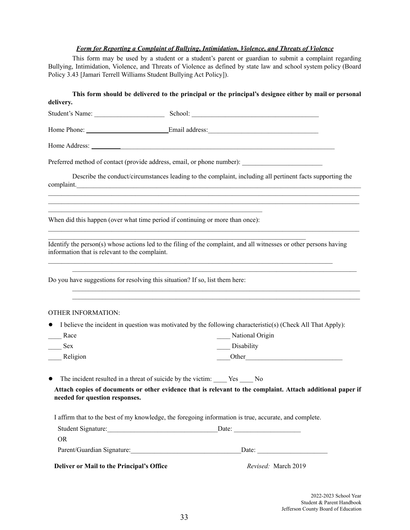# *Form for Reporting a Complaint of Bullying, Intimidation, Violence, and Threats of Violence*

This form may be used by a student or a student's parent or guardian to submit a complaint regarding Bullying, Intimidation, Violence, and Threats of Violence as defined by state law and school system policy (Board Policy 3.43 [Jamari Terrell Williams Student Bullying Act Policy]).

| delivery.                                                                    | This form should be delivered to the principal or the principal's designee either by mail or personal                                                                                                                          |
|------------------------------------------------------------------------------|--------------------------------------------------------------------------------------------------------------------------------------------------------------------------------------------------------------------------------|
|                                                                              |                                                                                                                                                                                                                                |
|                                                                              |                                                                                                                                                                                                                                |
|                                                                              |                                                                                                                                                                                                                                |
|                                                                              | Preferred method of contact (provide address, email, or phone number): ____________________________                                                                                                                            |
|                                                                              | Describe the conduct/circumstances leading to the complaint, including all pertinent facts supporting the<br>complaint.                                                                                                        |
|                                                                              | and the control of the control of the control of the control of the control of the control of the control of the<br>When did this happen (over what time period if continuing or more than once):                              |
| information that is relevant to the complaint.                               | Identify the person(s) whose actions led to the filing of the complaint, and all witnesses or other persons having                                                                                                             |
| Do you have suggestions for resolving this situation? If so, list them here: |                                                                                                                                                                                                                                |
| <b>OTHER INFORMATION:</b>                                                    | ,我们也不能在这里的时候,我们也不能在这里的时候,我们也不能不能在这里的时候,我们也不能会不能会不能会不能会不能会不能会不能会。""我们的人们也不能会不能会不能                                                                                                                                               |
| $\bullet$                                                                    | I believe the incident in question was motivated by the following characteristic(s) (Check All That Apply):                                                                                                                    |
| __ Race                                                                      | National Origin                                                                                                                                                                                                                |
| Sex                                                                          | Disability                                                                                                                                                                                                                     |
| Religion                                                                     | Other Communication of the Communication of the Communication of the Communication of the Communication of the Communication of the Communication of the Communication of the Communication of the Communication of the Commun |
| $\bullet$                                                                    | The incident resulted in a threat of suicide by the victim: _____ Yes _____ No                                                                                                                                                 |
| needed for question responses.                                               | Attach copies of documents or other evidence that is relevant to the complaint. Attach additional paper if                                                                                                                     |
|                                                                              | I affirm that to the best of my knowledge, the foregoing information is true, accurate, and complete.                                                                                                                          |
| <b>OR</b>                                                                    |                                                                                                                                                                                                                                |
|                                                                              | Parent/Guardian Signature: Date: Date: Date:                                                                                                                                                                                   |
| Deliver or Mail to the Principal's Office                                    | Revised: March 2019                                                                                                                                                                                                            |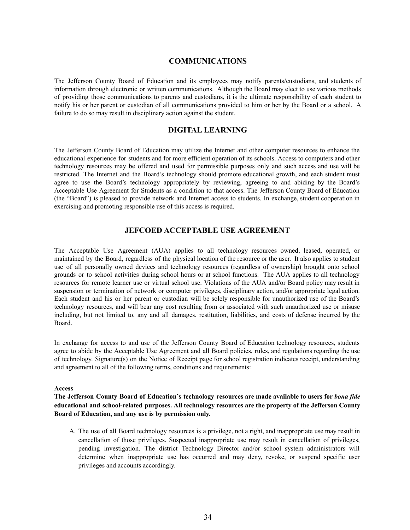# **COMMUNICATIONS**

The Jefferson County Board of Education and its employees may notify parents/custodians, and students of information through electronic or written communications. Although the Board may elect to use various methods of providing those communications to parents and custodians, it is the ultimate responsibility of each student to notify his or her parent or custodian of all communications provided to him or her by the Board or a school. A failure to do so may result in disciplinary action against the student.

# **DIGITAL LEARNING**

The Jefferson County Board of Education may utilize the Internet and other computer resources to enhance the educational experience for students and for more efficient operation of its schools. Access to computers and other technology resources may be offered and used for permissible purposes only and such access and use will be restricted. The Internet and the Board's technology should promote educational growth, and each student must agree to use the Board's technology appropriately by reviewing, agreeing to and abiding by the Board's Acceptable Use Agreement for Students as a condition to that access. The Jefferson County Board of Education (the "Board") is pleased to provide network and Internet access to students. In exchange, student cooperation in exercising and promoting responsible use of this access is required.

# **JEFCOED ACCEPTABLE USE AGREEMENT**

The Acceptable Use Agreement (AUA) applies to all technology resources owned, leased, operated, or maintained by the Board, regardless of the physical location of the resource or the user. It also applies to student use of all personally owned devices and technology resources (regardless of ownership) brought onto school grounds or to school activities during school hours or at school functions. The AUA applies to all technology resources for remote learner use or virtual school use. Violations of the AUA and/or Board policy may result in suspension or termination of network or computer privileges, disciplinary action, and/or appropriate legal action. Each student and his or her parent or custodian will be solely responsible for unauthorized use of the Board's technology resources, and will bear any cost resulting from or associated with such unauthorized use or misuse including, but not limited to, any and all damages, restitution, liabilities, and costs of defense incurred by the Board.

In exchange for access to and use of the Jefferson County Board of Education technology resources, students agree to abide by the Acceptable Use Agreement and all Board policies, rules, and regulations regarding the use of technology. Signature(s) on the Notice of Receipt page for school registration indicates receipt, understanding and agreement to all of the following terms, conditions and requirements:

#### **Access**

**The Jefferson County Board of Education's technology resources are made available to users for** *bona fide* **educational and school-related purposes. All technology resources are the property of the Jefferson County Board of Education, and any use is by permission only.**

A. The use of all Board technology resources is a privilege, not a right, and inappropriate use may result in cancellation of those privileges. Suspected inappropriate use may result in cancellation of privileges, pending investigation. The district Technology Director and/or school system administrators will determine when inappropriate use has occurred and may deny, revoke, or suspend specific user privileges and accounts accordingly.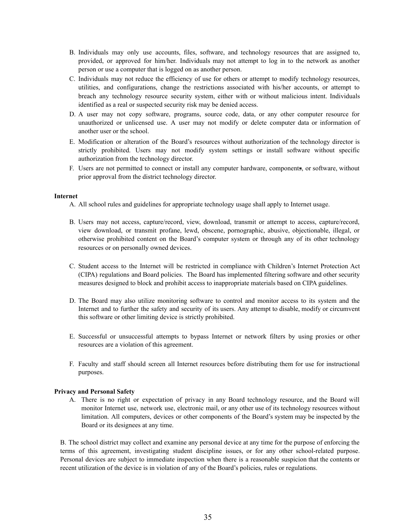- B. Individuals may only use accounts, files, software, and technology resources that are assigned to, provided, or approved for him/her. Individuals may not attempt to log in to the network as another person or use a computer that is logged on as another person.
- C. Individuals may not reduce the efficiency of use for others or attempt to modify technology resources, utilities, and configurations, change the restrictions associated with his/her accounts, or attempt to breach any technology resource security system, either with or without malicious intent. Individuals identified as a real or suspected security risk may be denied access.
- D. A user may not copy software, programs, source code, data, or any other computer resource for unauthorized or unlicensed use. A user may not modify or delete computer data or information of another user or the school.
- E. Modification or alteration of the Board's resources without authorization of the technology director is strictly prohibited. Users may not modify system settings or install software without specific authorization from the technology director.
- F. Users are not permitted to connect or install any computer hardware, components, or software, without prior approval from the district technology director.

#### **Internet**

- A. All school rules and guidelines for appropriate technology usage shall apply to Internet usage.
- B. Users may not access, capture/record, view, download, transmit or attempt to access, capture/record, view download, or transmit profane, lewd, obscene, pornographic, abusive, objectionable, illegal, or otherwise prohibited content on the Board's computer system or through any of its other technology resources or on personally owned devices.
- C. Student access to the Internet will be restricted in compliance with Children's Internet Protection Act (CIPA) regulations and Board policies. The Board has implemented filtering software and other security measures designed to block and prohibit access to inappropriate materials based on CIPA guidelines.
- D. The Board may also utilize monitoring software to control and monitor access to its system and the Internet and to further the safety and security of its users. Any attempt to disable, modify or circumvent this software or other limiting device is strictly prohibited.
- E. Successful or unsuccessful attempts to bypass Internet or network filters by using proxies or other resources are a violation of this agreement.
- F. Faculty and staff should screen all Internet resources before distributing them for use for instructional purposes.

#### **Privacy and Personal Safety**

A. There is no right or expectation of privacy in any Board technology resource, and the Board will monitor Internet use, network use, electronic mail, or any other use of its technology resources without limitation. All computers, devices or other components of the Board's system may be inspected by the Board or its designees at any time.

B. The school district may collect and examine any personal device at any time for the purpose of enforcing the terms of this agreement, investigating student discipline issues, or for any other school-related purpose. Personal devices are subject to immediate inspection when there is a reasonable suspicion that the contents or recent utilization of the device is in violation of any of the Board's policies, rules or regulations.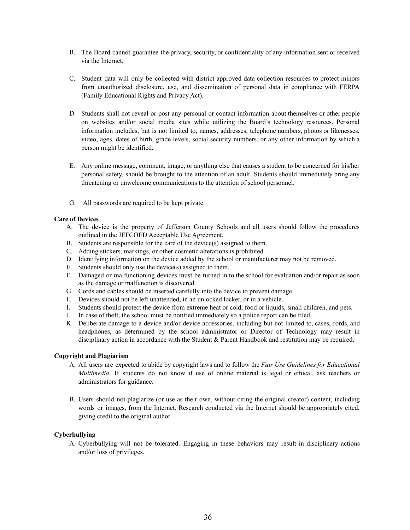- B. The Board cannot guarantee the privacy, security, or confidentiality of any information sent or received via the Internet.
- C. Student data will only be collected with district approved data collection resources to protect minors from unauthorized disclosure, use, and dissemination of personal data in compliance with FERPA (Family Educational Rights and Privacy Act).
- D. Students shall not reveal or post any personal or contact information about themselves or other people on websites and/or social media sites while utilizing the Board's technology resources. Personal information includes, but is not limited to, names, addresses, telephone numbers, photos or likenesses, video, ages, dates of birth, grade levels, social security numbers, or any other information by which a person might be identified.
- E. Any online message, comment, image, or anything else that causes a student to be concerned for his/her personal safety, should be brought to the attention of an adult. Students should immediately bring any threatening or unwelcome communications to the attention of school personnel.
- G. All passwords are required to be kept private.

# **Care of Devices**

- A. The device is the property of Jefferson County Schools and all users should follow the procedures outlined in the JEFCOED Acceptable Use Agreement.
- B. Students are responsible for the care of the device(s) assigned to them.
- C. Adding stickers, markings, or other cosmetic alterations is prohibited.
- D. Identifying information on the device added by the school or manufacturer may not be removed.
- E. Students should only use the device(s) assigned to them.
- F. Damaged or malfunctioning devices must be turned in to the school for evaluation and/or repair as soon as the damage or malfunction is discovered.
- G. Cords and cables should be inserted carefully into the device to prevent damage.
- H. Devices should not be left unattended, in an unlocked locker, or in a vehicle.
- I. Students should protect the device from extreme heat or cold, food or liquids, small children, and pets.
- J. In case of theft, the school must be notified immediately so a police report can be filed.
- K. Deliberate damage to a device and/or device accessories, including but not limited to, cases, cords, and headphones, as determined by the school administrator or Director of Technology may result in disciplinary action in accordance with the Student & Parent Handbook and restitution may be required.

# **Copyright and Plagiarism**

- A. All users are expected to abide by copyright laws and to follow the *Fair Use Guidelines for Educational Multimedia*. If students do not know if use of online material is legal or ethical, ask teachers or administrators for guidance.
- B. Users should not plagiarize (or use as their own, without citing the original creator) content, including words or images, from the Internet. Research conducted via the Internet should be appropriately cited, giving credit to the original author.

# **Cyberbullying**

A. Cyberbullying will not be tolerated. Engaging in these behaviors may result in disciplinary actions and/or loss of privileges.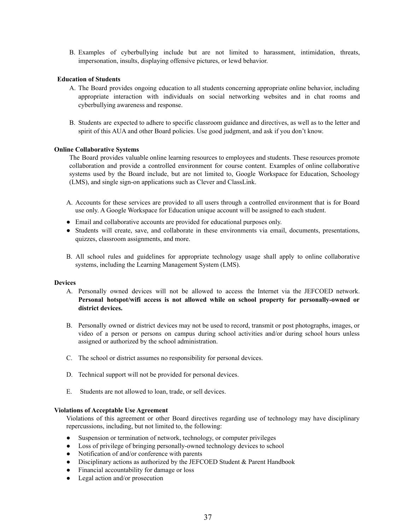B. Examples of cyberbullying include but are not limited to harassment, intimidation, threats, impersonation, insults, displaying offensive pictures, or lewd behavior.

# **Education of Students**

- A. The Board provides ongoing education to all students concerning appropriate online behavior, including appropriate interaction with individuals on social networking websites and in chat rooms and cyberbullying awareness and response.
- B. Students are expected to adhere to specific classroom guidance and directives, as well as to the letter and spirit of this AUA and other Board policies. Use good judgment, and ask if you don't know.

#### **Online Collaborative Systems**

The Board provides valuable online learning resources to employees and students. These resources promote collaboration and provide a controlled environment for course content. Examples of online collaborative systems used by the Board include, but are not limited to, Google Workspace for Education, Schoology (LMS), and single sign-on applications such as Clever and ClassLink.

- A. Accounts for these services are provided to all users through a controlled environment that is for Board use only. A Google Workspace for Education unique account will be assigned to each student.
- Email and collaborative accounts are provided for educational purposes only.
- Students will create, save, and collaborate in these environments via email, documents, presentations, quizzes, classroom assignments, and more.
- B. All school rules and guidelines for appropriate technology usage shall apply to online collaborative systems, including the Learning Management System (LMS).

#### **Devices**

- A. Personally owned devices will not be allowed to access the Internet via the JEFCOED network. **Personal hotspot/wifi access is not allowed while on school property for personally-owned or district devices.**
- B. Personally owned or district devices may not be used to record, transmit or post photographs, images, or video of a person or persons on campus during school activities and/or during school hours unless assigned or authorized by the school administration.
- C. The school or district assumes no responsibility for personal devices.
- D. Technical support will not be provided for personal devices.
- E. Students are not allowed to loan, trade, or sell devices.

#### **Violations of Acceptable Use Agreement**

Violations of this agreement or other Board directives regarding use of technology may have disciplinary repercussions, including, but not limited to, the following:

- Suspension or termination of network, technology, or computer privileges
- Loss of privilege of bringing personally-owned technology devices to school
- Notification of and/or conference with parents
- Disciplinary actions as authorized by the JEFCOED Student  $&$  Parent Handbook
- Financial accountability for damage or loss
- Legal action and/or prosecution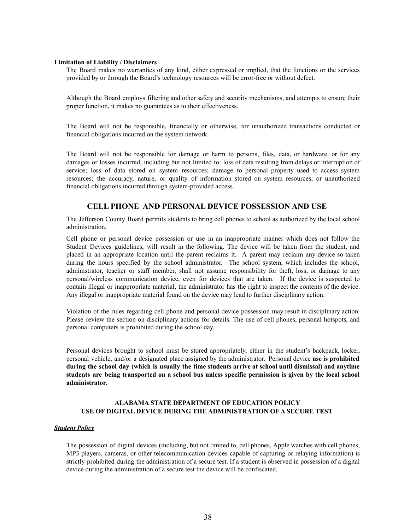#### **Limitation of Liability / Disclaimers**

The Board makes no warranties of any kind, either expressed or implied, that the functions or the services provided by or through the Board's technology resources will be error-free or without defect.

Although the Board employs filtering and other safety and security mechanisms, and attempts to ensure their proper function, it makes no guarantees as to their effectiveness.

The Board will not be responsible, financially or otherwise, for unauthorized transactions conducted or financial obligations incurred on the system network.

The Board will not be responsible for damage or harm to persons, files, data, or hardware, or for any damages or losses incurred, including but not limited to: loss of data resulting from delays or interruption of service; loss of data stored on system resources; damage to personal property used to access system resources; the accuracy, nature, or quality of information stored on system resources; or unauthorized financial obligations incurred through system-provided access.

# **CELL PHONE AND PERSONAL DEVICE POSSESSION AND USE**

The Jefferson County Board permits students to bring cell phones to school as authorized by the local school administration.

Cell phone or personal device possession or use in an inappropriate manner which does not follow the Student Devices guidelines, will result in the following. The device will be taken from the student, and placed in an appropriate location until the parent reclaims it. A parent may reclaim any device so taken during the hours specified by the school administrator. The school system, which includes the school, administrator, teacher or staff member, shall not assume responsibility for theft, loss, or damage to any personal/wireless communication device, even for devices that are taken. If the device is suspected to contain illegal or inappropriate material, the administrator has the right to inspect the contents of the device. Any illegal or inappropriate material found on the device may lead to further disciplinary action.

Violation of the rules regarding cell phone and personal device possession may result in disciplinary action. Please review the section on disciplinary actions for details. The use of cell phones, personal hotspots, and personal computers is prohibited during the school day.

Personal devices brought to school must be stored appropriately, either in the student's backpack, locker, personal vehicle, and/or a designated place assigned by the administrator. Personal device **use is prohibited during the school day (which is usually the time students arrive at school until dismissal) and anytime students are being transported on a school bus unless specific permission is given by the local school administrator.**

## **ALABAMA STATE DEPARTMENT OF EDUCATION POLICY USE OF DIGITAL DEVICE DURING THE ADMINISTRATION OF A SECURE TEST**

#### *Student Policy*

The possession of digital devices (including, but not limited to, cell phones, Apple watches with cell phones, MP3 players, cameras, or other telecommunication devices capable of capturing or relaying information) is strictly prohibited during the administration of a secure test. If a student is observed in possession of a digital device during the administration of a secure test the device will be confiscated.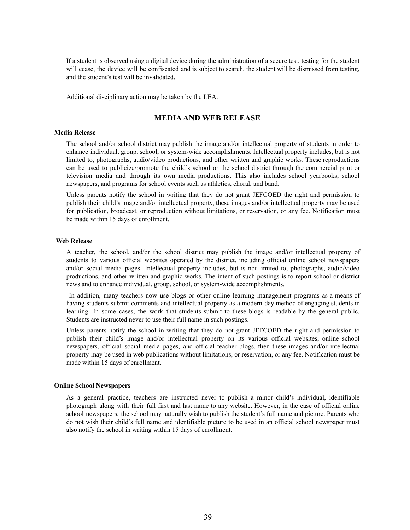If a student is observed using a digital device during the administration of a secure test, testing for the student will cease, the device will be confiscated and is subject to search, the student will be dismissed from testing, and the student's test will be invalidated.

Additional disciplinary action may be taken by the LEA.

# **MEDIAAND WEB RELEASE**

#### **Media Release**

The school and/or school district may publish the image and/or intellectual property of students in order to enhance individual, group, school, or system-wide accomplishments. Intellectual property includes, but is not limited to, photographs, audio/video productions, and other written and graphic works. These reproductions can be used to publicize/promote the child's school or the school district through the commercial print or television media and through its own media productions. This also includes school yearbooks, school newspapers, and programs for school events such as athletics, choral, and band.

Unless parents notify the school in writing that they do not grant JEFCOED the right and permission to publish their child's image and/or intellectual property, these images and/or intellectual property may be used for publication, broadcast, or reproduction without limitations, or reservation, or any fee. Notification must be made within 15 days of enrollment.

#### **Web Release**

A teacher, the school, and/or the school district may publish the image and/or intellectual property of students to various official websites operated by the district, including official online school newspapers and/or social media pages. Intellectual property includes, but is not limited to, photographs, audio/video productions, and other written and graphic works. The intent of such postings is to report school or district news and to enhance individual, group, school, or system-wide accomplishments.

In addition, many teachers now use blogs or other online learning management programs as a means of having students submit comments and intellectual property as a modern-day method of engaging students in learning. In some cases, the work that students submit to these blogs is readable by the general public. Students are instructed never to use their full name in such postings.

Unless parents notify the school in writing that they do not grant JEFCOED the right and permission to publish their child's image and/or intellectual property on its various official websites, online school newspapers, official social media pages, and official teacher blogs, then these images and/or intellectual property may be used in web publications without limitations, or reservation, or any fee. Notification must be made within 15 days of enrollment.

#### **Online School Newspapers**

As a general practice, teachers are instructed never to publish a minor child's individual, identifiable photograph along with their full first and last name to any website. However, in the case of official online school newspapers, the school may naturally wish to publish the student's full name and picture. Parents who do not wish their child's full name and identifiable picture to be used in an official school newspaper must also notify the school in writing within 15 days of enrollment.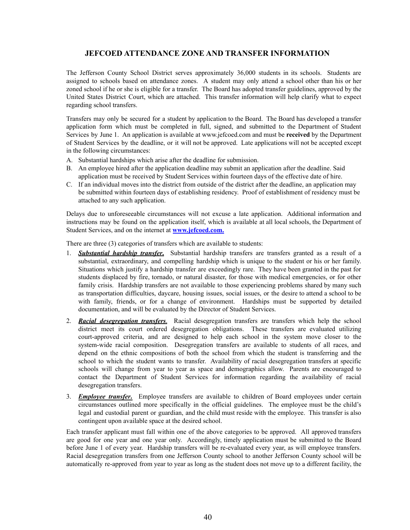# **JEFCOED ATTENDANCE ZONE AND TRANSFER INFORMATION**

The Jefferson County School District serves approximately 36,000 students in its schools. Students are assigned to schools based on attendance zones. A student may only attend a school other than his or her zoned school if he or she is eligible for a transfer. The Board has adopted transfer guidelines, approved by the United States District Court, which are attached. This transfer information will help clarify what to expect regarding school transfers.

Transfers may only be secured for a student by application to the Board. The Board has developed a transfer application form which must be completed in full, signed, and submitted to the Department of Student Services by June 1. An application is available at www.jefcoed.com and must be **received** by the Department of Student Services by the deadline, or it will not be approved. Late applications will not be accepted except in the following circumstances:

- A. Substantial hardships which arise after the deadline for submission.
- B. An employee hired after the application deadline may submit an application after the deadline. Said application must be received by Student Services within fourteen days of the effective date of hire.
- C. If an individual moves into the district from outside of the district after the deadline, an application may be submitted within fourteen days of establishing residency. Proof of establishment of residency must be attached to any such application.

Delays due to unforeseeable circumstances will not excuse a late application. Additional information and instructions may be found on the application itself, which is available at all local schools, the Department of Student Services, and on the internet at **www.jefcoed.com.**

There are three (3) categories of transfers which are available to students:

- 1. *Substantial hardship transfer***.** Substantial hardship transfers are transfers granted as a result of a substantial, extraordinary, and compelling hardship which is unique to the student or his or her family. Situations which justify a hardship transfer are exceedingly rare. They have been granted in the past for students displaced by fire, tornado, or natural disaster, for those with medical emergencies, or for other family crisis. Hardship transfers are not available to those experiencing problems shared by many such as transportation difficulties, daycare, housing issues, social issues, or the desire to attend a school to be with family, friends, or for a change of environment. Hardships must be supported by detailed documentation, and will be evaluated by the Director of Student Services.
- 2. *Racial desegregation transfers*. Racial desegregation transfers are transfers which help the school district meet its court ordered desegregation obligations. These transfers are evaluated utilizing court-approved criteria, and are designed to help each school in the system move closer to the system-wide racial composition. Desegregation transfers are available to students of all races, and depend on the ethnic compositions of both the school from which the student is transferring and the school to which the student wants to transfer. Availability of racial desegregation transfers at specific schools will change from year to year as space and demographics allow. Parents are encouraged to contact the Department of Student Services for information regarding the availability of racial desegregation transfers.
- 3. *Employee transfer***.** Employee transfers are available to children of Board employees under certain circumstances outlined more specifically in the official guidelines. The employee must be the child's legal and custodial parent or guardian, and the child must reside with the employee. This transfer is also contingent upon available space at the desired school.

Each transfer applicant must fall within one of the above categories to be approved. All approved transfers are good for one year and one year only. Accordingly, timely application must be submitted to the Board before June 1 of every year. Hardship transfers will be re-evaluated every year, as will employee transfers. Racial desegregation transfers from one Jefferson County school to another Jefferson County school will be automatically re-approved from year to year as long as the student does not move up to a different facility, the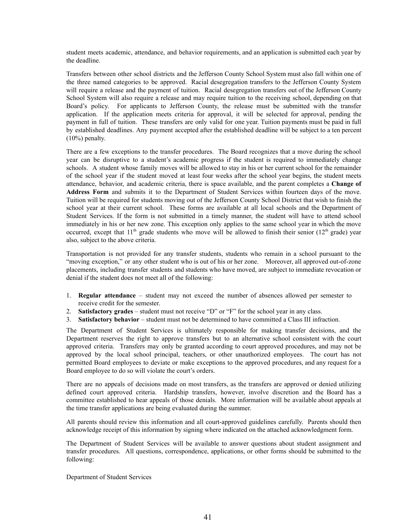student meets academic, attendance, and behavior requirements, and an application is submitted each year by the deadline.

Transfers between other school districts and the Jefferson County School System must also fall within one of the three named categories to be approved. Racial desegregation transfers to the Jefferson County System will require a release and the payment of tuition. Racial desegregation transfers out of the Jefferson County School System will also require a release and may require tuition to the receiving school, depending on that Board's policy. For applicants to Jefferson County, the release must be submitted with the transfer application. If the application meets criteria for approval, it will be selected for approval, pending the payment in full of tuition. These transfers are only valid for one year. Tuition payments must be paid in full by established deadlines. Any payment accepted after the established deadline will be subject to a ten percent (10%) penalty.

There are a few exceptions to the transfer procedures. The Board recognizes that a move during the school year can be disruptive to a student's academic progress if the student is required to immediately change schools. A student whose family moves will be allowed to stay in his or her current school for the remainder of the school year if the student moved at least four weeks after the school year begins, the student meets attendance, behavior, and academic criteria, there is space available, and the parent completes a **Change of Address Form** and submits it to the Department of Student Services within fourteen days of the move. Tuition will be required for students moving out of the Jefferson County School District that wish to finish the school year at their current school. These forms are available at all local schools and the Department of Student Services. If the form is not submitted in a timely manner, the student will have to attend school immediately in his or her new zone. This exception only applies to the same school year in which the move occurred, except that  $11^{\text{th}}$  grade students who move will be allowed to finish their senior ( $12^{\text{th}}$  grade) year also, subject to the above criteria.

Transportation is not provided for any transfer students, students who remain in a school pursuant to the "moving exception," or any other student who is out of his or her zone. Moreover, all approved out-of-zone placements, including transfer students and students who have moved, are subject to immediate revocation or denial if the student does not meet all of the following:

- 1. **Regular attendance** student may not exceed the number of absences allowed per semester to receive credit for the semester.
- 2. **Satisfactory grades** student must not receive "D" or "F" for the school year in any class.
- 3. **Satisfactory behavior** student must not be determined to have committed a Class III infraction.

The Department of Student Services is ultimately responsible for making transfer decisions, and the Department reserves the right to approve transfers but to an alternative school consistent with the court approved criteria. Transfers may only be granted according to court approved procedures, and may not be approved by the local school principal, teachers, or other unauthorized employees. The court has not permitted Board employees to deviate or make exceptions to the approved procedures, and any request for a Board employee to do so will violate the court's orders.

There are no appeals of decisions made on most transfers, as the transfers are approved or denied utilizing defined court approved criteria. Hardship transfers, however, involve discretion and the Board has a committee established to hear appeals of those denials. More information will be available about appeals at the time transfer applications are being evaluated during the summer.

All parents should review this information and all court-approved guidelines carefully. Parents should then acknowledge receipt of this information by signing where indicated on the attached acknowledgment form.

The Department of Student Services will be available to answer questions about student assignment and transfer procedures. All questions, correspondence, applications, or other forms should be submitted to the following:

Department of Student Services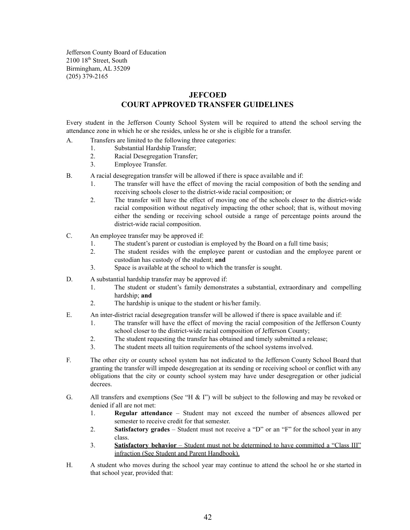Jefferson County Board of Education 2100 18<sup>th</sup> Street, South Birmingham, AL 35209 (205) 379-2165

# **JEFCOED COURT APPROVED TRANSFER GUIDELINES**

Every student in the Jefferson County School System will be required to attend the school serving the attendance zone in which he or she resides, unless he or she is eligible for a transfer.

- A. Transfers are limited to the following three categories:
	- 1. Substantial Hardship Transfer;
	- 2. Racial Desegregation Transfer;
	- 3. Employee Transfer.
- B. A racial desegregation transfer will be allowed if there is space available and if:
	- 1. The transfer will have the effect of moving the racial composition of both the sending and receiving schools closer to the district-wide racial composition; or
	- 2. The transfer will have the effect of moving one of the schools closer to the district-wide racial composition without negatively impacting the other school; that is, without moving either the sending or receiving school outside a range of percentage points around the district-wide racial composition.
- C. An employee transfer may be approved if:
	- 1. The student's parent or custodian is employed by the Board on a full time basis;
	- 2. The student resides with the employee parent or custodian and the employee parent or custodian has custody of the student; **and**
	- 3. Space is available at the school to which the transfer is sought.
- D. A substantial hardship transfer may be approved if:
	- 1. The student or student's family demonstrates a substantial, extraordinary and compelling hardship; **and**
	- 2. The hardship is unique to the student or his/her family.
- E. An inter-district racial desegregation transfer will be allowed if there is space available and if:
	- 1. The transfer will have the effect of moving the racial composition of the Jefferson County school closer to the district-wide racial composition of Jefferson County;
	- 2. The student requesting the transfer has obtained and timely submitted a release;
	- 3. The student meets all tuition requirements of the school systems involved.
- F. The other city or county school system has not indicated to the Jefferson County School Board that granting the transfer will impede desegregation at its sending or receiving school or conflict with any obligations that the city or county school system may have under desegregation or other judicial decrees.
- G. All transfers and exemptions (See "H & I") will be subject to the following and may be revoked or denied if all are not met:
	- 1. **Regular attendance** Student may not exceed the number of absences allowed per semester to receive credit for that semester.
	- 2. **Satisfactory grades** Student must not receive a "D" or an "F" for the school year in any class.
	- 3. **Satisfactory behavior** Student must not be determined to have committed a "Class III" infraction (See Student and Parent Handbook).
- H. A student who moves during the school year may continue to attend the school he or she started in that school year, provided that: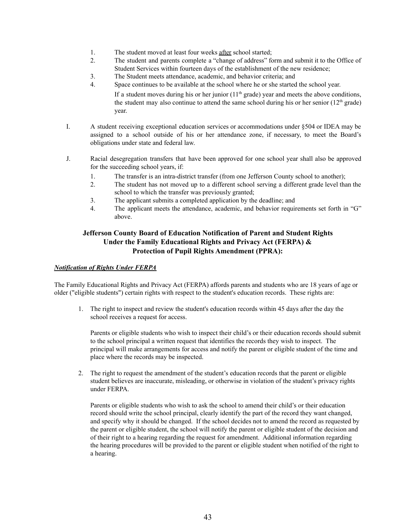- 1. The student moved at least four weeks after school started;
- 2. The student and parents complete a "change of address" form and submit it to the Office of Student Services within fourteen days of the establishment of the new residence;
- 3. The Student meets attendance, academic, and behavior criteria; and
- 4. Space continues to be available at the school where he or she started the school year.

If a student moves during his or her junior  $(11<sup>th</sup> \text{ grade})$  year and meets the above conditions, the student may also continue to attend the same school during his or her senior  $(12<sup>th</sup> \text{ grade})$ year.

- I. A student receiving exceptional education services or accommodations under §504 or IDEA may be assigned to a school outside of his or her attendance zone, if necessary, to meet the Board's obligations under state and federal law.
- J. Racial desegregation transfers that have been approved for one school year shall also be approved for the succeeding school years, if:
	- 1. The transfer is an intra-district transfer (from one Jefferson County school to another);
	- 2. The student has not moved up to a different school serving a different grade level than the school to which the transfer was previously granted;
	- 3. The applicant submits a completed application by the deadline; and
	- 4. The applicant meets the attendance, academic, and behavior requirements set forth in "G" above.

# **Jefferson County Board of Education Notification of Parent and Student Rights Under the Family Educational Rights and Privacy Act (FERPA) & Protection of Pupil Rights Amendment (PPRA):**

# *Notification of Rights Under FERPA*

The Family Educational Rights and Privacy Act (FERPA) affords parents and students who are 18 years of age or older ("eligible students") certain rights with respect to the student's education records. These rights are:

1. The right to inspect and review the student's education records within 45 days after the day the school receives a request for access.

Parents or eligible students who wish to inspect their child's or their education records should submit to the school principal a written request that identifies the records they wish to inspect. The principal will make arrangements for access and notify the parent or eligible student of the time and place where the records may be inspected.

2. The right to request the amendment of the student's education records that the parent or eligible student believes are inaccurate, misleading, or otherwise in violation of the student's privacy rights under FERPA.

Parents or eligible students who wish to ask the school to amend their child's or their education record should write the school principal, clearly identify the part of the record they want changed, and specify why it should be changed. If the school decides not to amend the record as requested by the parent or eligible student, the school will notify the parent or eligible student of the decision and of their right to a hearing regarding the request for amendment. Additional information regarding the hearing procedures will be provided to the parent or eligible student when notified of the right to a hearing.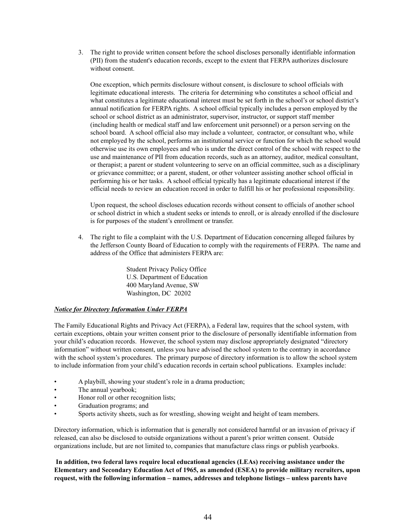3. The right to provide written consent before the school discloses personally identifiable information (PII) from the student's education records, except to the extent that FERPA authorizes disclosure without consent.

One exception, which permits disclosure without consent, is disclosure to school officials with legitimate educational interests. The criteria for determining who constitutes a school official and what constitutes a legitimate educational interest must be set forth in the school's or school district's annual notification for FERPA rights. A school official typically includes a person employed by the school or school district as an administrator, supervisor, instructor, or support staff member (including health or medical staff and law enforcement unit personnel) or a person serving on the school board. A school official also may include a volunteer, contractor, or consultant who, while not employed by the school, performs an institutional service or function for which the school would otherwise use its own employees and who is under the direct control of the school with respect to the use and maintenance of PII from education records, such as an attorney, auditor, medical consultant, or therapist; a parent or student volunteering to serve on an official committee, such as a disciplinary or grievance committee; or a parent, student, or other volunteer assisting another school official in performing his or her tasks. A school official typically has a legitimate educational interest if the official needs to review an education record in order to fulfill his or her professional responsibility.

Upon request, the school discloses education records without consent to officials of another school or school district in which a student seeks or intends to enroll, or is already enrolled if the disclosure is for purposes of the student's enrollment or transfer.

4. The right to file a complaint with the U.S. Department of Education concerning alleged failures by the Jefferson County Board of Education to comply with the requirements of FERPA. The name and address of the Office that administers FERPA are:

> Student Privacy Policy Office U.S. Department of Education 400 Maryland Avenue, SW Washington, DC 20202

# *Notice for Directory Information Under FERPA*

The Family Educational Rights and Privacy Act (FERPA), a Federal law, requires that the school system, with certain exceptions, obtain your written consent prior to the disclosure of personally identifiable information from your child's education records. However, the school system may disclose appropriately designated "directory information" without written consent, unless you have advised the school system to the contrary in accordance with the school system's procedures. The primary purpose of directory information is to allow the school system to include information from your child's education records in certain school publications. Examples include:

- A playbill, showing your student's role in a drama production;
- The annual yearbook;
- Honor roll or other recognition lists;
- Graduation programs; and
- Sports activity sheets, such as for wrestling, showing weight and height of team members.

Directory information, which is information that is generally not considered harmful or an invasion of privacy if released, can also be disclosed to outside organizations without a parent's prior written consent. Outside organizations include, but are not limited to, companies that manufacture class rings or publish yearbooks.

**In addition, two federal laws require local educational agencies (LEAs) receiving assistance under the Elementary and Secondary Education Act of 1965, as amended (ESEA) to provide military recruiters, upon request, with the following information – names, addresses and telephone listings – unless parents have**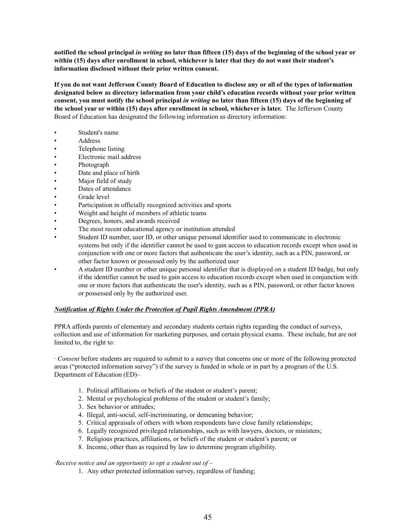notified the school principal in writing no later than fifteen (15) days of the beginning of the school year or **within (15) days after enrollment in school, whichever is later that they do not want their student's information disclosed without their prior written consent.**

If you do not want Jefferson County Board of Education to disclose any or all of the types of information **designated below as directory information from your child's education records without your prior written** consent, you must notify the school principal in writing no later than fifteen (15) days of the beginning of **the school year or within (15) days after enrollment in school, whichever is later.** The Jefferson County Board of Education has designated the following information as directory information:

- Student's name
- Address
- Telephone listing
- Electronic mail address
- Photograph
- Date and place of birth
- Major field of study
- Dates of attendance
- Grade level
- Participation in officially recognized activities and sports
- Weight and height of members of athletic teams
- Degrees, honors, and awards received
- The most recent educational agency or institution attended
- Student ID number, user ID, or other unique personal identifier used to communicate in electronic systems but only if the identifier cannot be used to gain access to education records except when used in conjunction with one or more factors that authenticate the user's identity, such as a PIN, password, or other factor known or possessed only by the authorized user
- A student ID number or other unique personal identifier that is displayed on a student ID badge, but only if the identifier cannot be used to gain access to education records except when used in conjunction with one or more factors that authenticate the user's identity, such as a PIN, password, or other factor known or possessed only by the authorized user.

#### *Notification of Rights Under the Protection of Pupil Rights Amendment (PPRA)*

PPRA affords parents of elementary and secondary students certain rights regarding the conduct of surveys, collection and use of information for marketing purposes, and certain physical exams. These include, but are not limited to, the right to:

∙ *Consent* before students are required to submit to a survey that concerns one or more of the following protected areas ("protected information survey") if the survey is funded in whole or in part by a program of the U.S. Department of Education (ED)–

- 1. Political affiliations or beliefs of the student or student's parent;
- 2. Mental or psychological problems of the student or student's family;
- 3. Sex behavior or attitudes;
- 4. Illegal, anti-social, self-incriminating, or demeaning behavior;
- 5. Critical appraisals of others with whom respondents have close family relationships;
- 6. Legally recognized privileged relationships, such as with lawyers, doctors, or ministers;
- 7. Religious practices, affiliations, or beliefs of the student or student's parent; or
- 8. Income, other than as required by law to determine program eligibility.

#### ∙*Receive notice and an opportunity to opt a student out of* –

1. Any other protected information survey, regardless of funding;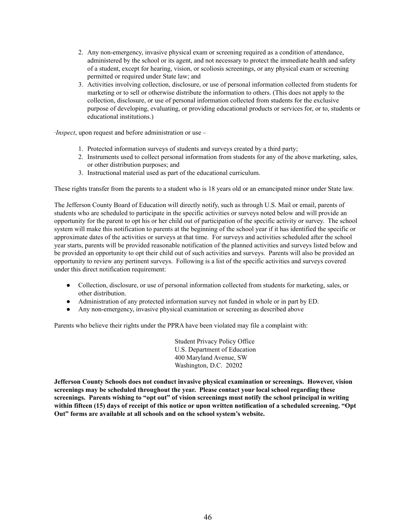- 2. Any non-emergency, invasive physical exam or screening required as a condition of attendance, administered by the school or its agent, and not necessary to protect the immediate health and safety of a student, except for hearing, vision, or scoliosis screenings, or any physical exam or screening permitted or required under State law; and
- 3. Activities involving collection, disclosure, or use of personal information collected from students for marketing or to sell or otherwise distribute the information to others. (This does not apply to the collection, disclosure, or use of personal information collected from students for the exclusive purpose of developing, evaluating, or providing educational products or services for, or to, students or educational institutions.)

∙*Inspect*, upon request and before administration or use –

- 1. Protected information surveys of students and surveys created by a third party;
- 2. Instruments used to collect personal information from students for any of the above marketing, sales, or other distribution purposes; and
- 3. Instructional material used as part of the educational curriculum.

These rights transfer from the parents to a student who is 18 years old or an emancipated minor under State law.

The Jefferson County Board of Education will directly notify, such as through U.S. Mail or email, parents of students who are scheduled to participate in the specific activities or surveys noted below and will provide an opportunity for the parent to opt his or her child out of participation of the specific activity or survey. The school system will make this notification to parents at the beginning of the school year if it has identified the specific or approximate dates of the activities or surveys at that time. For surveys and activities scheduled after the school year starts, parents will be provided reasonable notification of the planned activities and surveys listed below and be provided an opportunity to opt their child out of such activities and surveys. Parents will also be provided an opportunity to review any pertinent surveys. Following is a list of the specific activities and surveys covered under this direct notification requirement:

- Collection, disclosure, or use of personal information collected from students for marketing, sales, or other distribution.
- Administration of any protected information survey not funded in whole or in part by ED.
- Any non-emergency, invasive physical examination or screening as described above

Parents who believe their rights under the PPRA have been violated may file a complaint with:

Student Privacy Policy Office U.S. Department of Education 400 Maryland Avenue, SW Washington, D.C. 20202

**Jefferson County Schools does not conduct invasive physical examination or screenings. However, vision screenings may be scheduled throughout the year. Please contact your local school regarding these screenings. Parents wishing to "opt out" of vision screenings must notify the school principal in writing** within fifteen (15) days of receipt of this notice or upon written notification of a scheduled screening. "Opt **Out" forms are available at all schools and on the school system's website.**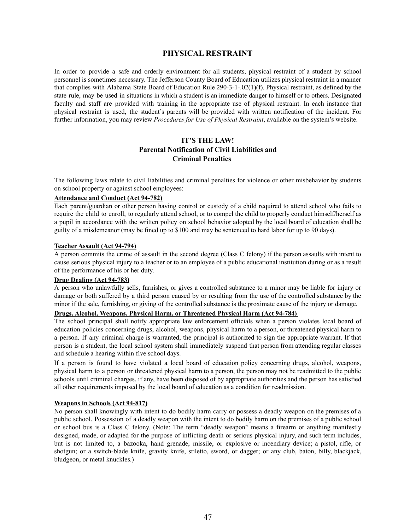# **PHYSICAL RESTRAINT**

In order to provide a safe and orderly environment for all students, physical restraint of a student by school personnel is sometimes necessary. The Jefferson County Board of Education utilizes physical restraint in a manner that complies with Alabama State Board of Education Rule 290-3-1-.02(1)(f). Physical restraint, as defined by the state rule, may be used in situations in which a student is an immediate danger to himself or to others. Designated faculty and staff are provided with training in the appropriate use of physical restraint. In each instance that physical restraint is used, the student's parents will be provided with written notification of the incident. For further information, you may review *Procedures for Use of Physical Restraint*, available on the system's website.

# **IT'S THE LAW! Parental Notification of Civil Liabilities and Criminal Penalties**

The following laws relate to civil liabilities and criminal penalties for violence or other misbehavior by students on school property or against school employees:

#### **Attendance and Conduct (Act 94-782)**

Each parent/guardian or other person having control or custody of a child required to attend school who fails to require the child to enroll, to regularly attend school, or to compel the child to properly conduct himself/herself as a pupil in accordance with the written policy on school behavior adopted by the local board of education shall be guilty of a misdemeanor (may be fined up to \$100 and may be sentenced to hard labor for up to 90 days).

#### **Teacher Assault (Act 94-794)**

A person commits the crime of assault in the second degree (Class C felony) if the person assaults with intent to cause serious physical injury to a teacher or to an employee of a public educational institution during or as a result of the performance of his or her duty.

#### **Drug Dealing (Act 94-783)**

A person who unlawfully sells, furnishes, or gives a controlled substance to a minor may be liable for injury or damage or both suffered by a third person caused by or resulting from the use of the controlled substance by the minor if the sale, furnishing, or giving of the controlled substance is the proximate cause of the injury or damage.

#### **Drugs, Alcohol, Weapons, Physical Harm, or Threatened Physical Harm (Act 94-784)**

The school principal shall notify appropriate law enforcement officials when a person violates local board of education policies concerning drugs, alcohol, weapons, physical harm to a person, or threatened physical harm to a person. If any criminal charge is warranted, the principal is authorized to sign the appropriate warrant. If that person is a student, the local school system shall immediately suspend that person from attending regular classes and schedule a hearing within five school days.

If a person is found to have violated a local board of education policy concerning drugs, alcohol, weapons, physical harm to a person or threatened physical harm to a person, the person may not be readmitted to the public schools until criminal charges, if any, have been disposed of by appropriate authorities and the person has satisfied all other requirements imposed by the local board of education as a condition for readmission.

#### **Weapons in Schools (Act 94-817)**

No person shall knowingly with intent to do bodily harm carry or possess a deadly weapon on the premises of a public school. Possession of a deadly weapon with the intent to do bodily harm on the premises of a public school or school bus is a Class C felony. (Note: The term "deadly weapon" means a firearm or anything manifestly designed, made, or adapted for the purpose of inflicting death or serious physical injury, and such term includes, but is not limited to, a bazooka, hand grenade, missile, or explosive or incendiary device; a pistol, rifle, or shotgun; or a switch-blade knife, gravity knife, stiletto, sword, or dagger; or any club, baton, billy, blackjack, bludgeon, or metal knuckles.)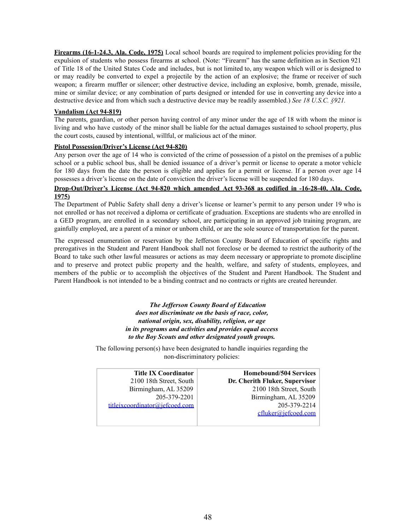**Firearms (16-1-24.3, Ala. Code, 1975)** Local school boards are required to implement policies providing for the expulsion of students who possess firearms at school. (Note: "Firearm" has the same definition as in Section 921 of Title 18 of the United States Code and includes, but is not limited to, any weapon which will or is designed to or may readily be converted to expel a projectile by the action of an explosive; the frame or receiver of such weapon; a firearm muffler or silencer; other destructive device, including an explosive, bomb, grenade, missile, mine or similar device; or any combination of parts designed or intended for use in converting any device into a destructive device and from which such a destructive device may be readily assembled.) *See 18 U.S.C. §921.*

# **Vandalism (Act 94-819)**

The parents, guardian, or other person having control of any minor under the age of 18 with whom the minor is living and who have custody of the minor shall be liable for the actual damages sustained to school property, plus the court costs, caused by intentional, willful, or malicious act of the minor.

# **Pistol Possession/Driver's License (Act 94-820)**

Any person over the age of 14 who is convicted of the crime of possession of a pistol on the premises of a public school or a public school bus, shall be denied issuance of a driver's permit or license to operate a motor vehicle for 180 days from the date the person is eligible and applies for a permit or license. If a person over age 14 possesses a driver's license on the date of conviction the driver's license will be suspended for 180 days.

# **Drop-Out/Driver's License (Act 94-820 which amended Act 93-368 as codified in -16-28-40, Ala. Code, 1975)**

The Department of Public Safety shall deny a driver's license or learner's permit to any person under 19 who is not enrolled or has not received a diploma or certificate of graduation. Exceptions are students who are enrolled in a GED program, are enrolled in a secondary school, are participating in an approved job training program, are gainfully employed, are a parent of a minor or unborn child, or are the sole source of transportation for the parent.

The expressed enumeration or reservation by the Jefferson County Board of Education of specific rights and prerogatives in the Student and Parent Handbook shall not foreclose or be deemed to restrict the authority of the Board to take such other lawful measures or actions as may deem necessary or appropriate to promote discipline and to preserve and protect public property and the health, welfare, and safety of students, employees, and members of the public or to accomplish the objectives of the Student and Parent Handbook. The Student and Parent Handbook is not intended to be a binding contract and no contracts or rights are created hereunder.

> *The Jef erson County Board of Education does not discriminate on the basis of race, color, national origin, sex, disability, religion, or age in its programs and activities and provides equal access to the Boy Scouts and other designated youth groups.*

The following person(s) have been designated to handle inquiries regarding the non-discriminatory policies:

| <b>Title IX Coordinator</b>    | <b>Homebound/504 Services</b>  |
|--------------------------------|--------------------------------|
| 2100 18th Street, South        | Dr. Cherith Fluker, Supervisor |
| Birmingham, AL 35209           | 2100 18th Street, South        |
| 205-379-2201                   | Birmingham, AL 35209           |
| titleixcoordinator@iefcoed.com | 205-379-2214                   |
|                                | cfluker@jefcoed.com            |
|                                |                                |